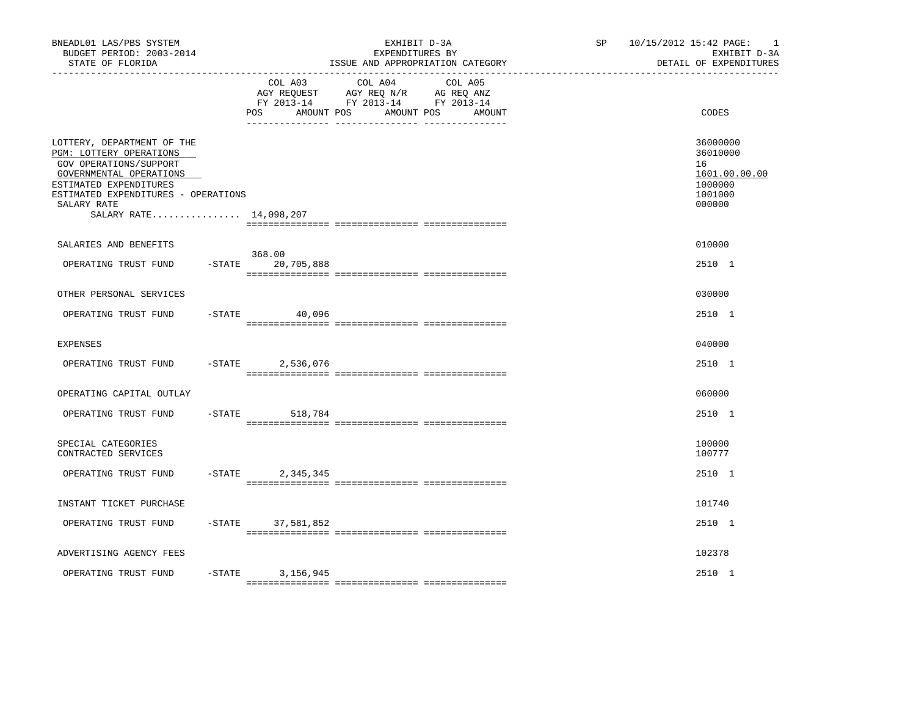| COL A03<br>COL A04<br>COL A05<br>AGY REQUEST AGY REQ N/R AG REQ ANZ<br>FY 2013-14 FY 2013-14 FY 2013-14<br>POS<br>AMOUNT POS<br>AMOUNT POS<br>AMOUNT<br>LOTTERY, DEPARTMENT OF THE<br>PGM: LOTTERY OPERATIONS<br>GOV OPERATIONS/SUPPORT<br>GOVERNMENTAL OPERATIONS | CODES<br>36000000<br>36010000<br>16<br>1601.00.00.00<br>1000000<br>1001000<br>000000 |
|--------------------------------------------------------------------------------------------------------------------------------------------------------------------------------------------------------------------------------------------------------------------|--------------------------------------------------------------------------------------|
|                                                                                                                                                                                                                                                                    |                                                                                      |
| ESTIMATED EXPENDITURES<br>ESTIMATED EXPENDITURES - OPERATIONS<br>SALARY RATE<br>SALARY RATE 14,098,207                                                                                                                                                             |                                                                                      |
| SALARIES AND BENEFITS<br>368.00<br>$-$ STATE<br>20,705,888<br>OPERATING TRUST FUND                                                                                                                                                                                 | 010000<br>2510 1                                                                     |
| OTHER PERSONAL SERVICES                                                                                                                                                                                                                                            | 030000                                                                               |
| OPERATING TRUST FUND<br>$-$ STATE<br>40,096                                                                                                                                                                                                                        | 2510 1                                                                               |
| <b>EXPENSES</b>                                                                                                                                                                                                                                                    | 040000                                                                               |
| OPERATING TRUST FUND<br>$-$ STATE<br>2,536,076                                                                                                                                                                                                                     | 2510 1                                                                               |
| OPERATING CAPITAL OUTLAY                                                                                                                                                                                                                                           | 060000                                                                               |
| OPERATING TRUST FUND<br>$-$ STATE 518,784                                                                                                                                                                                                                          | 2510 1                                                                               |
| SPECIAL CATEGORIES<br>CONTRACTED SERVICES                                                                                                                                                                                                                          | 100000<br>100777                                                                     |
| $-$ STATE<br>OPERATING TRUST FUND<br>2,345,345                                                                                                                                                                                                                     | 2510 1                                                                               |
| INSTANT TICKET PURCHASE                                                                                                                                                                                                                                            | 101740                                                                               |
| OPERATING TRUST FUND<br>$-$ STATE<br>37,581,852                                                                                                                                                                                                                    | 2510 1                                                                               |
| ADVERTISING AGENCY FEES                                                                                                                                                                                                                                            | 102378                                                                               |
| OPERATING TRUST FUND<br>$-$ STATE<br>3,156,945                                                                                                                                                                                                                     | 2510 1                                                                               |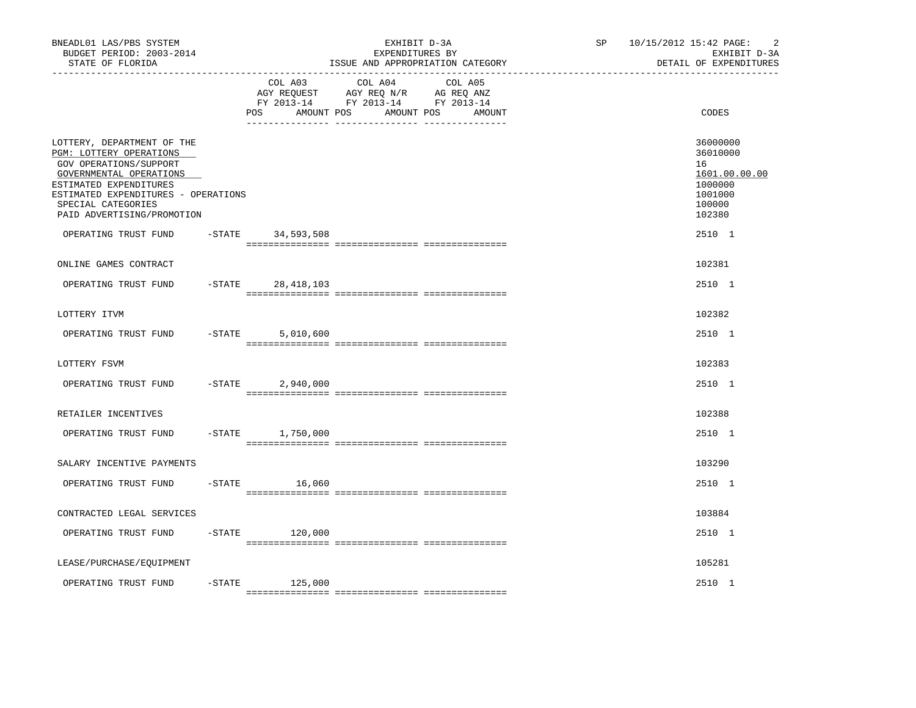| BNEADL01 LAS/PBS SYSTEM<br>BUDGET PERIOD: 2003-2014<br>STATE OF FLORIDA                                                                                                                                                                                 |           |                               | EXHIBIT D-3A<br>EXPENDITURES BY<br>ISSUE AND APPROPRIATION CATEGORY                                                  | SP <sub>2</sub> | $\overline{c}$<br>10/15/2012 15:42 PAGE:<br>EXHIBIT D-3A<br>DETAIL OF EXPENDITURES              |
|---------------------------------------------------------------------------------------------------------------------------------------------------------------------------------------------------------------------------------------------------------|-----------|-------------------------------|----------------------------------------------------------------------------------------------------------------------|-----------------|-------------------------------------------------------------------------------------------------|
|                                                                                                                                                                                                                                                         |           | COL A03<br>AMOUNT POS<br>POS. | COL A04<br>COL A05<br>AGY REQUEST AGY REQ N/R AG REQ ANZ<br>FY 2013-14 FY 2013-14 FY 2013-14<br>AMOUNT POS<br>AMOUNT |                 | CODES                                                                                           |
| LOTTERY, DEPARTMENT OF THE<br>PGM: LOTTERY OPERATIONS<br>GOV OPERATIONS/SUPPORT<br>GOVERNMENTAL OPERATIONS<br>ESTIMATED EXPENDITURES<br>ESTIMATED EXPENDITURES - OPERATIONS<br>SPECIAL CATEGORIES<br>PAID ADVERTISING/PROMOTION<br>OPERATING TRUST FUND |           | $-STATE$ 34,593,508           |                                                                                                                      |                 | 36000000<br>36010000<br>16<br>1601.00.00.00<br>1000000<br>1001000<br>100000<br>102380<br>2510 1 |
|                                                                                                                                                                                                                                                         |           |                               |                                                                                                                      |                 |                                                                                                 |
| ONLINE GAMES CONTRACT                                                                                                                                                                                                                                   |           |                               |                                                                                                                      |                 | 102381                                                                                          |
| OPERATING TRUST FUND                                                                                                                                                                                                                                    |           | $-STATE$ 28, 418, 103         |                                                                                                                      |                 | 2510 1                                                                                          |
| LOTTERY ITVM                                                                                                                                                                                                                                            |           |                               |                                                                                                                      |                 | 102382                                                                                          |
| OPERATING TRUST FUND                                                                                                                                                                                                                                    | $-$ STATE | 5,010,600                     |                                                                                                                      |                 | 2510 1                                                                                          |
| LOTTERY FSVM                                                                                                                                                                                                                                            |           |                               |                                                                                                                      |                 | 102383                                                                                          |
| OPERATING TRUST FUND                                                                                                                                                                                                                                    | $-STATE$  | 2,940,000                     |                                                                                                                      |                 | 2510 1                                                                                          |
| RETAILER INCENTIVES                                                                                                                                                                                                                                     |           |                               |                                                                                                                      |                 | 102388                                                                                          |
| OPERATING TRUST FUND                                                                                                                                                                                                                                    |           | $-STATE$ 1,750,000            |                                                                                                                      |                 | 2510 1                                                                                          |
| SALARY INCENTIVE PAYMENTS                                                                                                                                                                                                                               |           |                               |                                                                                                                      |                 | 103290                                                                                          |
| OPERATING TRUST FUND                                                                                                                                                                                                                                    | $-$ STATE | 16,060                        |                                                                                                                      |                 | 2510 1                                                                                          |
| CONTRACTED LEGAL SERVICES                                                                                                                                                                                                                               |           |                               |                                                                                                                      |                 | 103884                                                                                          |
| OPERATING TRUST FUND                                                                                                                                                                                                                                    | -STATE    | 120,000                       |                                                                                                                      |                 | 2510 1                                                                                          |
|                                                                                                                                                                                                                                                         |           |                               |                                                                                                                      |                 |                                                                                                 |
| LEASE/PURCHASE/EQUIPMENT                                                                                                                                                                                                                                |           |                               |                                                                                                                      |                 | 105281                                                                                          |
| OPERATING TRUST FUND                                                                                                                                                                                                                                    | $-$ STATE | 125,000                       |                                                                                                                      |                 | 2510 1                                                                                          |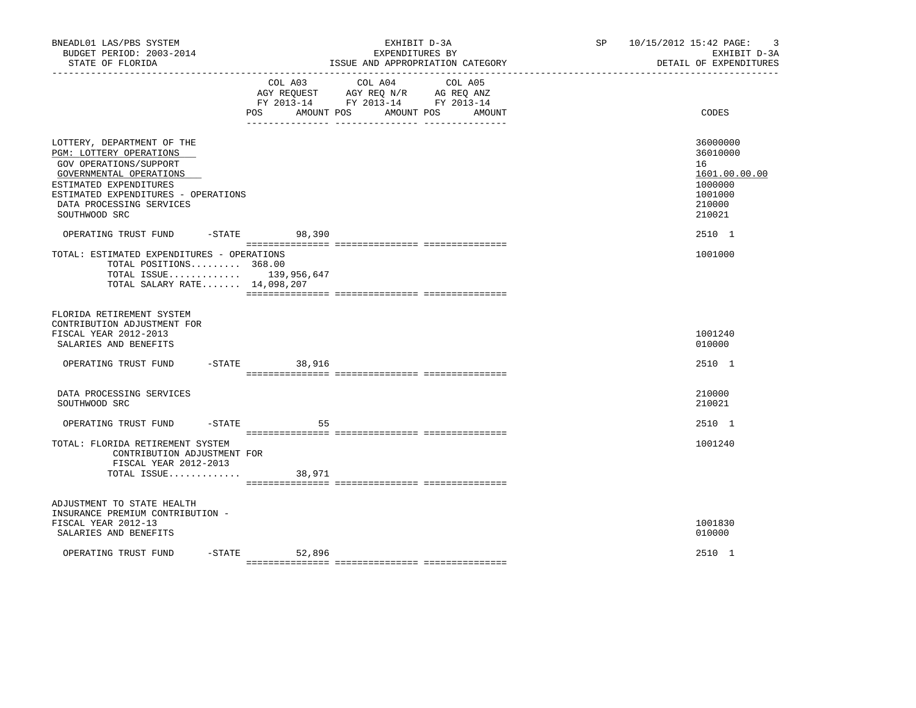| BNEADL01 LAS/PBS SYSTEM<br>BUDGET PERIOD: 2003-2014<br>STATE OF FLORIDA<br>-------------------                                                                                                                           |                    | EXHIBIT D-3A<br>EXPENDITURES BY<br>ISSUE AND APPROPRIATION CATEGORY                                                                         | $\overline{3}$<br>SP 10/15/2012 15:42 PAGE:<br>EXHIBIT D-3A<br>DETAIL OF EXPENDITURES |
|--------------------------------------------------------------------------------------------------------------------------------------------------------------------------------------------------------------------------|--------------------|---------------------------------------------------------------------------------------------------------------------------------------------|---------------------------------------------------------------------------------------|
|                                                                                                                                                                                                                          |                    | COL A03 COL A04<br>COL A05<br>AGY REQUEST AGY REQ N/R AG REQ ANZ<br>FY 2013-14 FY 2013-14 FY 2013-14<br>POS AMOUNT POS AMOUNT POS<br>AMOUNT | CODES                                                                                 |
| LOTTERY, DEPARTMENT OF THE<br>PGM: LOTTERY OPERATIONS<br>GOV OPERATIONS/SUPPORT<br>GOVERNMENTAL OPERATIONS<br>ESTIMATED EXPENDITURES<br>ESTIMATED EXPENDITURES - OPERATIONS<br>DATA PROCESSING SERVICES<br>SOUTHWOOD SRC |                    |                                                                                                                                             | 36000000<br>36010000<br>16<br>1601.00.00.00<br>1000000<br>1001000<br>210000<br>210021 |
| OPERATING TRUST FUND<br>TOTAL: ESTIMATED EXPENDITURES - OPERATIONS<br>TOTAL POSITIONS 368.00<br>TOTAL ISSUE 139,956,647<br>TOTAL SALARY RATE 14,098,207                                                                  | $-STATE$ 98,390    |                                                                                                                                             | 2510 1<br>1001000                                                                     |
| FLORIDA RETIREMENT SYSTEM<br>CONTRIBUTION ADJUSTMENT FOR<br>FISCAL YEAR 2012-2013<br>SALARIES AND BENEFITS                                                                                                               |                    |                                                                                                                                             | 1001240<br>010000                                                                     |
| OPERATING TRUST FUND                                                                                                                                                                                                     | -STATE 38,916      |                                                                                                                                             | 2510 1                                                                                |
| DATA PROCESSING SERVICES<br>SOUTHWOOD SRC                                                                                                                                                                                |                    |                                                                                                                                             | 210000<br>210021                                                                      |
| OPERATING TRUST FUND -STATE                                                                                                                                                                                              | 55                 |                                                                                                                                             | 2510 1                                                                                |
| TOTAL: FLORIDA RETIREMENT SYSTEM<br>CONTRIBUTION ADJUSTMENT FOR<br>FISCAL YEAR 2012-2013<br>TOTAL ISSUE                                                                                                                  | 38,971             |                                                                                                                                             | 1001240                                                                               |
| ADJUSTMENT TO STATE HEALTH<br>INSURANCE PREMIUM CONTRIBUTION -<br>FISCAL YEAR 2012-13<br>SALARIES AND BENEFITS                                                                                                           |                    |                                                                                                                                             | 1001830<br>010000                                                                     |
| OPERATING TRUST FUND                                                                                                                                                                                                     | $-STATE$<br>52,896 |                                                                                                                                             | 2510 1                                                                                |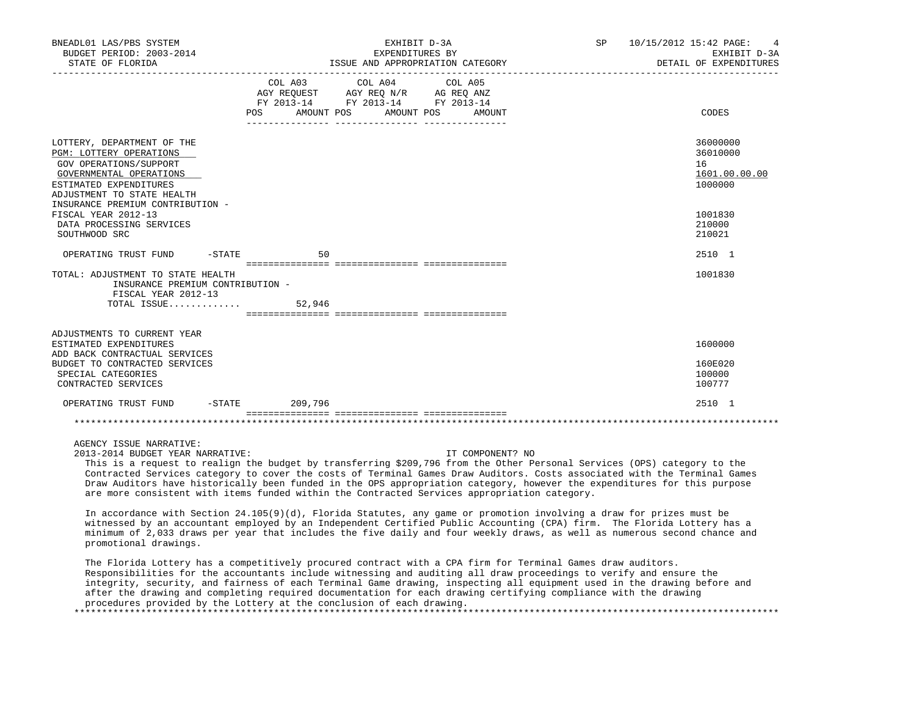| BNEADL01 LAS/PBS SYSTEM<br>BUDGET PERIOD: 2003-2014<br>STATE OF FLORIDA                                                                                                                                |                   | EXHIBIT D-3A<br>EXPENDITURES BY<br>ISSUE AND APPROPRIATION CATEGORY                                             | <b>SP</b> | 10/15/2012 15:42 PAGE:<br>EXHIBIT D-3A<br>DETAIL OF EXPENDITURES |                                                        |
|--------------------------------------------------------------------------------------------------------------------------------------------------------------------------------------------------------|-------------------|-----------------------------------------------------------------------------------------------------------------|-----------|------------------------------------------------------------------|--------------------------------------------------------|
|                                                                                                                                                                                                        | POS<br>AMOUNT POS | COL A03 COL A04 COL A05<br>AGY REQUEST AGY REQ N/R AG REQ ANZ<br>FY 2013-14 FY 2013-14 FY 2013-14<br>AMOUNT POS | AMOUNT    |                                                                  | CODES                                                  |
| LOTTERY, DEPARTMENT OF THE<br>PGM: LOTTERY OPERATIONS<br>GOV OPERATIONS/SUPPORT<br>GOVERNMENTAL OPERATIONS<br>ESTIMATED EXPENDITURES<br>ADJUSTMENT TO STATE HEALTH<br>INSURANCE PREMIUM CONTRIBUTION - |                   |                                                                                                                 |           |                                                                  | 36000000<br>36010000<br>16<br>1601.00.00.00<br>1000000 |
| FISCAL YEAR 2012-13<br>DATA PROCESSING SERVICES<br>SOUTHWOOD SRC                                                                                                                                       |                   |                                                                                                                 |           |                                                                  | 1001830<br>210000<br>210021                            |
| $-STATE$<br>OPERATING TRUST FUND                                                                                                                                                                       | 50                |                                                                                                                 |           |                                                                  | 2510 1                                                 |
| TOTAL: ADJUSTMENT TO STATE HEALTH<br>INSURANCE PREMIUM CONTRIBUTION -<br>FISCAL YEAR 2012-13                                                                                                           |                   |                                                                                                                 |           |                                                                  | 1001830                                                |
| ADJUSTMENTS TO CURRENT YEAR<br>ESTIMATED EXPENDITURES<br>ADD BACK CONTRACTUAL SERVICES                                                                                                                 |                   |                                                                                                                 |           |                                                                  | 1600000                                                |
| BUDGET TO CONTRACTED SERVICES<br>SPECIAL CATEGORIES<br>CONTRACTED SERVICES                                                                                                                             |                   |                                                                                                                 |           |                                                                  | 160E020<br>100000<br>100777                            |
| OPERATING TRUST FUND                                                                                                                                                                                   | -STATE 209,796    |                                                                                                                 |           |                                                                  | 2510 1                                                 |
|                                                                                                                                                                                                        |                   | ======================================                                                                          |           |                                                                  |                                                        |

2013-2014 BUDGET YEAR NARRATIVE: IT COMPONENT? NO

 This is a request to realign the budget by transferring \$209,796 from the Other Personal Services (OPS) category to the Contracted Services category to cover the costs of Terminal Games Draw Auditors. Costs associated with the Terminal Games Draw Auditors have historically been funded in the OPS appropriation category, however the expenditures for this purpose are more consistent with items funded within the Contracted Services appropriation category.

 In accordance with Section 24.105(9)(d), Florida Statutes, any game or promotion involving a draw for prizes must be witnessed by an accountant employed by an Independent Certified Public Accounting (CPA) firm. The Florida Lottery has a minimum of 2,033 draws per year that includes the five daily and four weekly draws, as well as numerous second chance and promotional drawings.

 The Florida Lottery has a competitively procured contract with a CPA firm for Terminal Games draw auditors. Responsibilities for the accountants include witnessing and auditing all draw proceedings to verify and ensure the integrity, security, and fairness of each Terminal Game drawing, inspecting all equipment used in the drawing before and after the drawing and completing required documentation for each drawing certifying compliance with the drawing procedures provided by the Lottery at the conclusion of each drawing. \*\*\*\*\*\*\*\*\*\*\*\*\*\*\*\*\*\*\*\*\*\*\*\*\*\*\*\*\*\*\*\*\*\*\*\*\*\*\*\*\*\*\*\*\*\*\*\*\*\*\*\*\*\*\*\*\*\*\*\*\*\*\*\*\*\*\*\*\*\*\*\*\*\*\*\*\*\*\*\*\*\*\*\*\*\*\*\*\*\*\*\*\*\*\*\*\*\*\*\*\*\*\*\*\*\*\*\*\*\*\*\*\*\*\*\*\*\*\*\*\*\*\*\*\*\*\*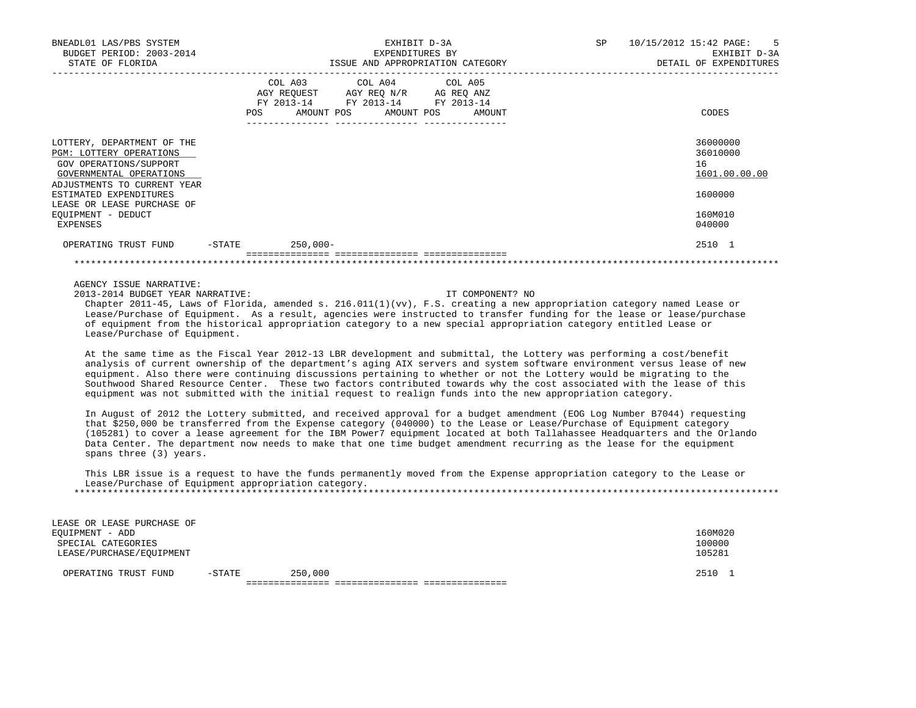| BNEADL01 LAS/PBS SYSTEM<br>BUDGET PERIOD: 2003-2014<br>STATE OF FLORIDA                                                                          |           |                       | EXPENDITURES BY<br>ISSUE AND APPROPRIATION CATEGORY                                                     | EXHIBIT D-3A |        | <b>SP</b> | 10/15/2012 15:42 PAGE:<br>$5^{\circ}$<br>EXHIBIT D-3A<br>DETAIL OF EXPENDITURES |
|--------------------------------------------------------------------------------------------------------------------------------------------------|-----------|-----------------------|---------------------------------------------------------------------------------------------------------|--------------|--------|-----------|---------------------------------------------------------------------------------|
|                                                                                                                                                  | POS       | COL A03<br>AMOUNT POS | COL A04 COL A05<br>AGY REQUEST AGY REQ N/R AG REQ ANZ<br>FY 2013-14 FY 2013-14 FY 2013-14<br>AMOUNT POS |              | AMOUNT |           | CODES                                                                           |
| LOTTERY, DEPARTMENT OF THE<br><b>PGM: LOTTERY OPERATIONS</b><br>GOV OPERATIONS/SUPPORT<br>GOVERNMENTAL OPERATIONS<br>ADJUSTMENTS TO CURRENT YEAR |           |                       |                                                                                                         |              |        |           | 36000000<br>36010000<br>16<br>1601.00.00.00                                     |
| ESTIMATED EXPENDITURES<br>LEASE OR LEASE PURCHASE OF<br>EQUIPMENT - DEDUCT                                                                       |           |                       |                                                                                                         |              |        |           | 1600000<br>160M010                                                              |
| EXPENSES                                                                                                                                         |           |                       |                                                                                                         |              |        |           | 040000                                                                          |
| OPERATING TRUST FUND                                                                                                                             | $-$ STATE | $250,000-$            |                                                                                                         |              |        |           | 2510 1                                                                          |

2013-2014 BUDGET YEAR NARRATIVE: IT COMPONENT? NO

 Chapter 2011-45, Laws of Florida, amended s. 216.011(1)(vv), F.S. creating a new appropriation category named Lease or Lease/Purchase of Equipment. As a result, agencies were instructed to transfer funding for the lease or lease/purchase of equipment from the historical appropriation category to a new special appropriation category entitled Lease or Lease/Purchase of Equipment.

 At the same time as the Fiscal Year 2012-13 LBR development and submittal, the Lottery was performing a cost/benefit analysis of current ownership of the department's aging AIX servers and system software environment versus lease of new equipment. Also there were continuing discussions pertaining to whether or not the Lottery would be migrating to the Southwood Shared Resource Center. These two factors contributed towards why the cost associated with the lease of this equipment was not submitted with the initial request to realign funds into the new appropriation category.

 In August of 2012 the Lottery submitted, and received approval for a budget amendment (EOG Log Number B7044) requesting that \$250,000 be transferred from the Expense category (040000) to the Lease or Lease/Purchase of Equipment category (105281) to cover a lease agreement for the IBM Power7 equipment located at both Tallahassee Headquarters and the Orlando Data Center. The department now needs to make that one time budget amendment recurring as the lease for the equipment spans three (3) years.

 This LBR issue is a request to have the funds permanently moved from the Expense appropriation category to the Lease or Lease/Purchase of Equipment appropriation category. \*\*\*\*\*\*\*\*\*\*\*\*\*\*\*\*\*\*\*\*\*\*\*\*\*\*\*\*\*\*\*\*\*\*\*\*\*\*\*\*\*\*\*\*\*\*\*\*\*\*\*\*\*\*\*\*\*\*\*\*\*\*\*\*\*\*\*\*\*\*\*\*\*\*\*\*\*\*\*\*\*\*\*\*\*\*\*\*\*\*\*\*\*\*\*\*\*\*\*\*\*\*\*\*\*\*\*\*\*\*\*\*\*\*\*\*\*\*\*\*\*\*\*\*\*\*\*

| LEASE OR LEASE PURCHASE OF |           |         |  |      |         |
|----------------------------|-----------|---------|--|------|---------|
| EOUIPMENT - ADD            |           |         |  |      | 160M020 |
| SPECIAL CATEGORIES         |           |         |  |      | 100000  |
| LEASE/PURCHASE/EOUIPMENT   |           |         |  |      | 105281  |
| OPERATING TRUST FUND       | $-$ STATE | 250,000 |  | 2510 |         |
|                            |           |         |  |      |         |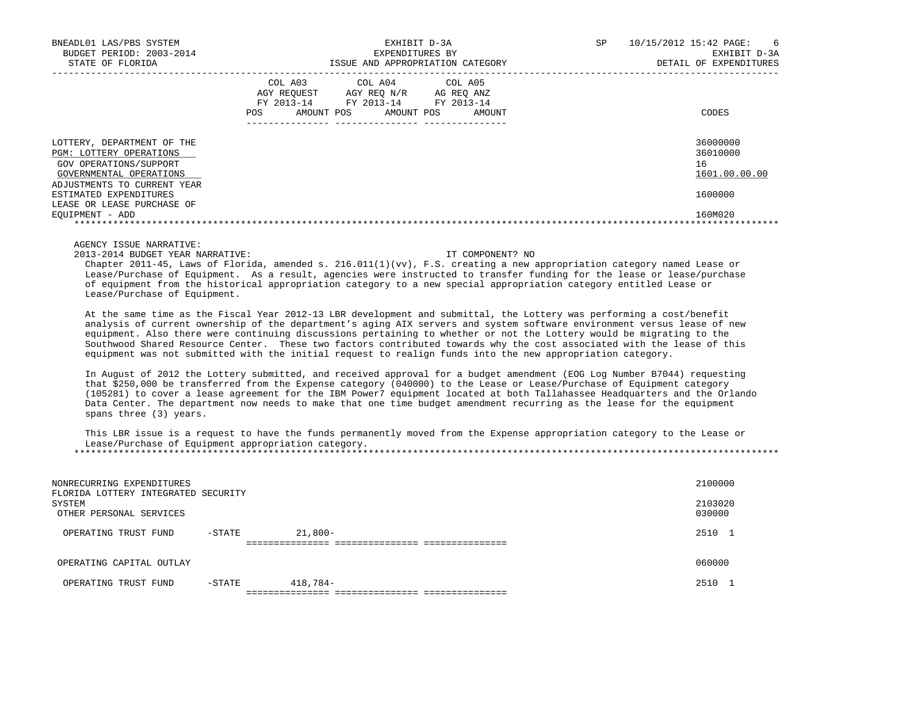| BNEADL01 LAS/PBS SYSTEM<br>BUDGET PERIOD: 2003-2014<br>STATE OF FLORIDA                                           | EXHIBIT D-3A<br>EXPENDITURES BY<br>ISSUE AND APPROPRIATION CATEGORY                                                                           | SP<br>10/15/2012 15:42 PAGE:<br>6<br>EXHIBIT D-3A<br>DETAIL OF EXPENDITURES |
|-------------------------------------------------------------------------------------------------------------------|-----------------------------------------------------------------------------------------------------------------------------------------------|-----------------------------------------------------------------------------|
|                                                                                                                   | COL A04 COL A05<br>COL A03<br>AGY REO N/R<br>AGY REOUEST<br>AG REO ANZ<br>FY 2013-14 FY 2013-14 FY 2013-14<br>POS<br>AMOUNT POS<br>AMOUNT POS | CODES<br>AMOUNT                                                             |
| LOTTERY, DEPARTMENT OF THE<br><b>PGM: LOTTERY OPERATIONS</b><br>GOV OPERATIONS/SUPPORT<br>GOVERNMENTAL OPERATIONS |                                                                                                                                               | 36000000<br>36010000<br>16<br>1601.00.00.00                                 |
| ADJUSTMENTS TO CURRENT YEAR<br>ESTIMATED EXPENDITURES<br>LEASE OR LEASE PURCHASE OF<br>EOUIPMENT - ADD            |                                                                                                                                               | 1600000<br>160M020                                                          |

2013-2014 BUDGET YEAR NARRATIVE: IT COMPONENT? NO

 Chapter 2011-45, Laws of Florida, amended s. 216.011(1)(vv), F.S. creating a new appropriation category named Lease or Lease/Purchase of Equipment. As a result, agencies were instructed to transfer funding for the lease or lease/purchase of equipment from the historical appropriation category to a new special appropriation category entitled Lease or Lease/Purchase of Equipment.

 At the same time as the Fiscal Year 2012-13 LBR development and submittal, the Lottery was performing a cost/benefit analysis of current ownership of the department's aging AIX servers and system software environment versus lease of new equipment. Also there were continuing discussions pertaining to whether or not the Lottery would be migrating to the Southwood Shared Resource Center. These two factors contributed towards why the cost associated with the lease of this equipment was not submitted with the initial request to realign funds into the new appropriation category.

 In August of 2012 the Lottery submitted, and received approval for a budget amendment (EOG Log Number B7044) requesting that \$250,000 be transferred from the Expense category (040000) to the Lease or Lease/Purchase of Equipment category (105281) to cover a lease agreement for the IBM Power7 equipment located at both Tallahassee Headquarters and the Orlando Data Center. The department now needs to make that one time budget amendment recurring as the lease for the equipment spans three (3) years.

 This LBR issue is a request to have the funds permanently moved from the Expense appropriation category to the Lease or Lease/Purchase of Equipment appropriation category. \*\*\*\*\*\*\*\*\*\*\*\*\*\*\*\*\*\*\*\*\*\*\*\*\*\*\*\*\*\*\*\*\*\*\*\*\*\*\*\*\*\*\*\*\*\*\*\*\*\*\*\*\*\*\*\*\*\*\*\*\*\*\*\*\*\*\*\*\*\*\*\*\*\*\*\*\*\*\*\*\*\*\*\*\*\*\*\*\*\*\*\*\*\*\*\*\*\*\*\*\*\*\*\*\*\*\*\*\*\*\*\*\*\*\*\*\*\*\*\*\*\*\*\*\*\*\*

| NONRECURRING EXPENDITURES<br>FLORIDA LOTTERY INTEGRATED SECURITY |        |           | 2100000           |  |
|------------------------------------------------------------------|--------|-----------|-------------------|--|
| SYSTEM<br>OTHER PERSONAL SERVICES                                |        |           | 2103020<br>030000 |  |
| OPERATING TRUST FUND                                             | -STATE | $21,800-$ | 2510              |  |
|                                                                  |        |           |                   |  |
| OPERATING CAPITAL OUTLAY                                         |        |           | 060000            |  |
| OPERATING TRUST FUND                                             | -STATE | 418,784-  | 2510              |  |
|                                                                  |        |           |                   |  |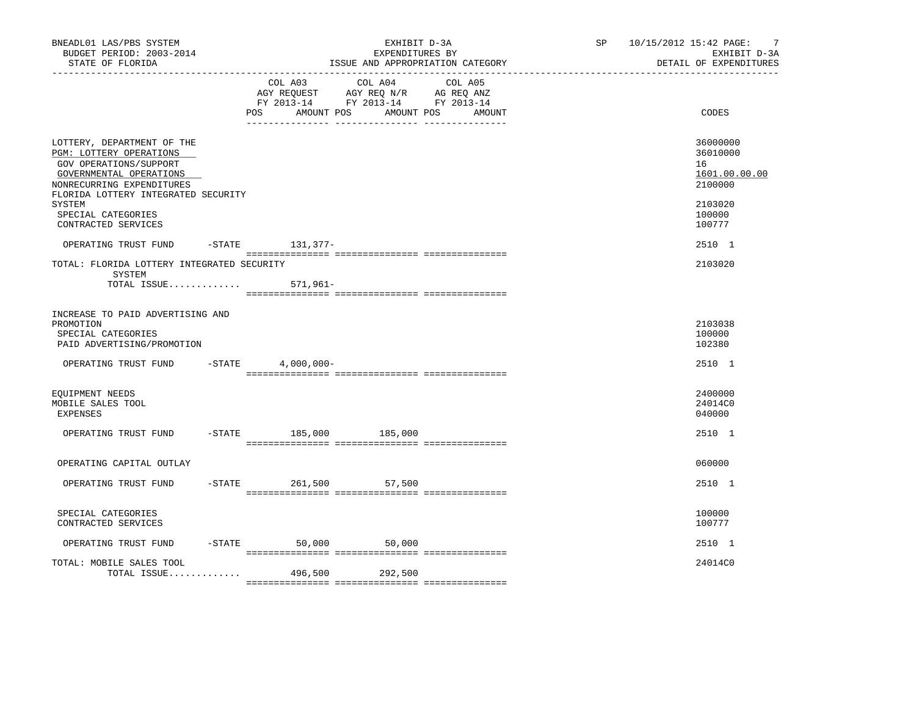| BNEADL01 LAS/PBS SYSTEM<br>BUDGET PERIOD: 2003-2014<br>STATE OF FLORIDA                                                                                                                                                               |                       | EXHIBIT D-3A<br>EXPENDITURES BY                                                                                 | ISSUE AND APPROPRIATION CATEGORY | SP 10/15/2012 15:42 PAGE: 7<br>EXHIBIT D-3A<br>DETAIL OF EXPENDITURES                 |
|---------------------------------------------------------------------------------------------------------------------------------------------------------------------------------------------------------------------------------------|-----------------------|-----------------------------------------------------------------------------------------------------------------|----------------------------------|---------------------------------------------------------------------------------------|
|                                                                                                                                                                                                                                       | POS<br>AMOUNT POS     | COL A03 COL A04 COL A05<br>AGY REQUEST AGY REQ N/R AG REQ ANZ<br>FY 2013-14 FY 2013-14 FY 2013-14<br>AMOUNT POS | AMOUNT                           | CODES                                                                                 |
| LOTTERY, DEPARTMENT OF THE<br>PGM: LOTTERY OPERATIONS<br>GOV OPERATIONS/SUPPORT<br>GOVERNMENTAL OPERATIONS<br>NONRECURRING EXPENDITURES<br>FLORIDA LOTTERY INTEGRATED SECURITY<br>SYSTEM<br>SPECIAL CATEGORIES<br>CONTRACTED SERVICES |                       |                                                                                                                 |                                  | 36000000<br>36010000<br>16<br>1601.00.00.00<br>2100000<br>2103020<br>100000<br>100777 |
| OPERATING TRUST FUND                                                                                                                                                                                                                  | -STATE 131, 377-      |                                                                                                                 |                                  | 2510 1                                                                                |
| TOTAL: FLORIDA LOTTERY INTEGRATED SECURITY<br>SYSTEM<br>TOTAL ISSUE                                                                                                                                                                   | 571,961–              |                                                                                                                 |                                  | 2103020                                                                               |
| INCREASE TO PAID ADVERTISING AND<br>PROMOTION<br>SPECIAL CATEGORIES<br>PAID ADVERTISING/PROMOTION                                                                                                                                     |                       |                                                                                                                 |                                  | 2103038<br>100000<br>102380                                                           |
| OPERATING TRUST FUND                                                                                                                                                                                                                  | $-$ STATE 4,000,000 - |                                                                                                                 |                                  | 2510 1                                                                                |
| EQUIPMENT NEEDS<br>MOBILE SALES TOOL<br>EXPENSES                                                                                                                                                                                      |                       |                                                                                                                 |                                  | 2400000<br>24014C0<br>040000                                                          |
| OPERATING TRUST FUND -STATE 185,000 185,000                                                                                                                                                                                           |                       |                                                                                                                 |                                  | 2510 1                                                                                |
| OPERATING CAPITAL OUTLAY                                                                                                                                                                                                              |                       |                                                                                                                 |                                  | 060000                                                                                |
| OPERATING TRUST FUND                                                                                                                                                                                                                  |                       | -STATE 261,500 57,500                                                                                           |                                  | 2510 1                                                                                |
| SPECIAL CATEGORIES<br>CONTRACTED SERVICES                                                                                                                                                                                             |                       |                                                                                                                 |                                  | 100000<br>100777                                                                      |
| OPERATING TRUST FUND                                                                                                                                                                                                                  |                       | $-$ STATE 50,000 50,000                                                                                         |                                  | 2510 1                                                                                |
| TOTAL: MOBILE SALES TOOL<br>TOTAL ISSUE                                                                                                                                                                                               |                       | 496,500 292,500                                                                                                 |                                  | 24014C0                                                                               |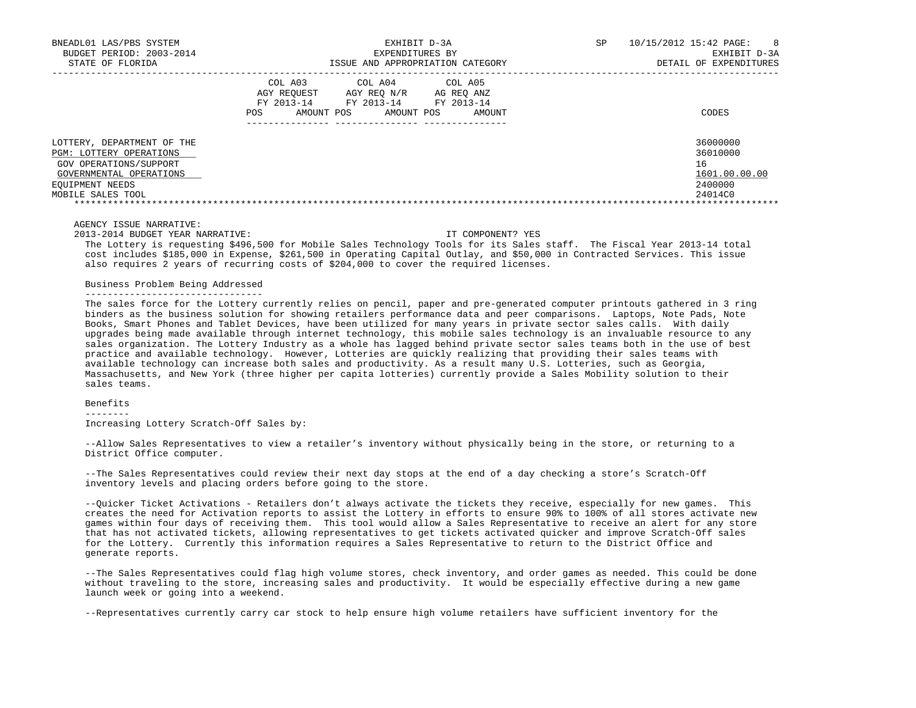| BNEADL01 LAS/PBS SYSTEM                                      | EXHIBIT D-3A                                                                                                                                               | 8<br>10/15/2012 15:42 PAGE:<br>SP |
|--------------------------------------------------------------|------------------------------------------------------------------------------------------------------------------------------------------------------------|-----------------------------------|
| BUDGET PERIOD: 2003-2014                                     | EXPENDITURES BY                                                                                                                                            | EXHIBIT D-3A                      |
| STATE OF FLORIDA                                             | ISSUE AND APPROPRIATION CATEGORY                                                                                                                           | DETAIL OF EXPENDITURES            |
|                                                              | COL A03 COL A04 COL A05<br>AGY REOUEST<br>AGY REO N/R<br>AG REO ANZ<br>FY 2013-14<br>FY 2013-14<br>FY 2013-14<br>AMOUNT POS<br>POS<br>AMOUNT POS<br>AMOUNT | CODES                             |
| LOTTERY, DEPARTMENT OF THE<br><b>PGM: LOTTERY OPERATIONS</b> |                                                                                                                                                            | 36000000<br>36010000              |
| GOV OPERATIONS/SUPPORT                                       |                                                                                                                                                            | 16                                |
| GOVERNMENTAL OPERATIONS                                      |                                                                                                                                                            | 1601.00.00.00                     |
| EOUIPMENT NEEDS                                              |                                                                                                                                                            | 2400000                           |
| MOBILE SALES TOOL                                            |                                                                                                                                                            | 24014C0                           |
|                                                              |                                                                                                                                                            |                                   |

2013-2014 BUDGET YEAR NARRATIVE: IT COMPONENT? YES

 The Lottery is requesting \$496,500 for Mobile Sales Technology Tools for its Sales staff. The Fiscal Year 2013-14 total cost includes \$185,000 in Expense, \$261,500 in Operating Capital Outlay, and \$50,000 in Contracted Services. This issue also requires 2 years of recurring costs of \$204,000 to cover the required licenses.

# Business Problem Being Addressed

 The sales force for the Lottery currently relies on pencil, paper and pre-generated computer printouts gathered in 3 ring binders as the business solution for showing retailers performance data and peer comparisons. Laptops, Note Pads, Note Books, Smart Phones and Tablet Devices, have been utilized for many years in private sector sales calls. With daily upgrades being made available through internet technology, this mobile sales technology is an invaluable resource to any sales organization. The Lottery Industry as a whole has lagged behind private sector sales teams both in the use of best practice and available technology. However, Lotteries are quickly realizing that providing their sales teams with available technology can increase both sales and productivity. As a result many U.S. Lotteries, such as Georgia, Massachusetts, and New York (three higher per capita lotteries) currently provide a Sales Mobility solution to their sales teams.

# Benefits

--------

Increasing Lottery Scratch-Off Sales by:

 --Allow Sales Representatives to view a retailer's inventory without physically being in the store, or returning to a District Office computer.

 --The Sales Representatives could review their next day stops at the end of a day checking a store's Scratch-Off inventory levels and placing orders before going to the store.

 --Quicker Ticket Activations - Retailers don't always activate the tickets they receive, especially for new games. This creates the need for Activation reports to assist the Lottery in efforts to ensure 90% to 100% of all stores activate new games within four days of receiving them. This tool would allow a Sales Representative to receive an alert for any store that has not activated tickets, allowing representatives to get tickets activated quicker and improve Scratch-Off sales for the Lottery. Currently this information requires a Sales Representative to return to the District Office and generate reports.

 --The Sales Representatives could flag high volume stores, check inventory, and order games as needed. This could be done without traveling to the store, increasing sales and productivity. It would be especially effective during a new game launch week or going into a weekend.

--Representatives currently carry car stock to help ensure high volume retailers have sufficient inventory for the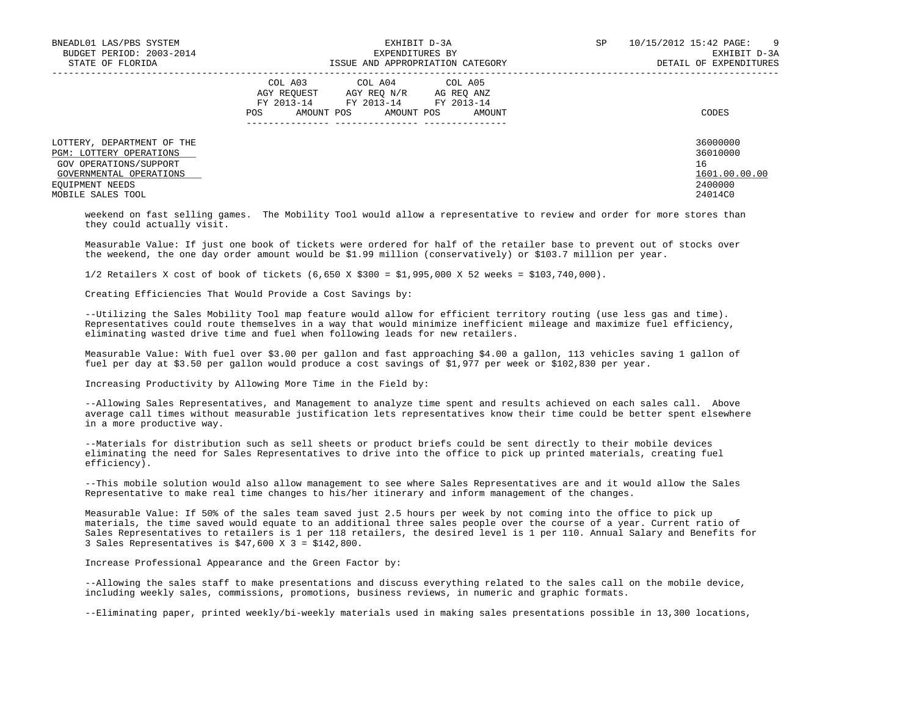| BNEADL01 LAS/PBS SYSTEM                                      | EXHIBIT D-3A                                                                                                                                            | SP | $\overline{9}$<br>10/15/2012 15:42 PAGE: |
|--------------------------------------------------------------|---------------------------------------------------------------------------------------------------------------------------------------------------------|----|------------------------------------------|
| BUDGET PERIOD: 2003-2014                                     | EXPENDITURES BY                                                                                                                                         |    | EXHIBIT D-3A                             |
| STATE OF FLORIDA                                             | ISSUE AND APPROPRIATION CATEGORY                                                                                                                        |    | DETAIL OF EXPENDITURES                   |
|                                                              | COL A03<br>COL A04 COL A05<br>AGY REOUEST<br>AGY REO N/R AG REO ANZ<br>FY 2013-14<br>FY 2013-14 FY 2013-14<br>AMOUNT POS<br>POS<br>AMOUNT POS<br>AMOUNT |    | CODES                                    |
| LOTTERY, DEPARTMENT OF THE<br><b>PGM: LOTTERY OPERATIONS</b> |                                                                                                                                                         |    | 36000000<br>36010000                     |
| GOV OPERATIONS/SUPPORT                                       |                                                                                                                                                         |    | 16                                       |
| GOVERNMENTAL OPERATIONS                                      |                                                                                                                                                         |    | 1601.00.00.00                            |
| EQUIPMENT NEEDS                                              |                                                                                                                                                         |    | 2400000                                  |
| MOBILE SALES TOOL                                            |                                                                                                                                                         |    | 24014C0                                  |

 weekend on fast selling games. The Mobility Tool would allow a representative to review and order for more stores than they could actually visit.

 Measurable Value: If just one book of tickets were ordered for half of the retailer base to prevent out of stocks over the weekend, the one day order amount would be \$1.99 million (conservatively) or \$103.7 million per year.

1/2 Retailers X cost of book of tickets (6,650 X \$300 = \$1,995,000 X 52 weeks = \$103,740,000).

Creating Efficiencies That Would Provide a Cost Savings by:

 --Utilizing the Sales Mobility Tool map feature would allow for efficient territory routing (use less gas and time). Representatives could route themselves in a way that would minimize inefficient mileage and maximize fuel efficiency, eliminating wasted drive time and fuel when following leads for new retailers.

 Measurable Value: With fuel over \$3.00 per gallon and fast approaching \$4.00 a gallon, 113 vehicles saving 1 gallon of fuel per day at \$3.50 per gallon would produce a cost savings of \$1,977 per week or \$102,830 per year.

Increasing Productivity by Allowing More Time in the Field by:

 --Allowing Sales Representatives, and Management to analyze time spent and results achieved on each sales call. Above average call times without measurable justification lets representatives know their time could be better spent elsewhere in a more productive way.

 --Materials for distribution such as sell sheets or product briefs could be sent directly to their mobile devices eliminating the need for Sales Representatives to drive into the office to pick up printed materials, creating fuel efficiency).

 --This mobile solution would also allow management to see where Sales Representatives are and it would allow the Sales Representative to make real time changes to his/her itinerary and inform management of the changes.

 Measurable Value: If 50% of the sales team saved just 2.5 hours per week by not coming into the office to pick up materials, the time saved would equate to an additional three sales people over the course of a year. Current ratio of Sales Representatives to retailers is 1 per 118 retailers, the desired level is 1 per 110. Annual Salary and Benefits for 3 Sales Representatives is \$47,600 X 3 = \$142,800.

Increase Professional Appearance and the Green Factor by:

 --Allowing the sales staff to make presentations and discuss everything related to the sales call on the mobile device, including weekly sales, commissions, promotions, business reviews, in numeric and graphic formats.

--Eliminating paper, printed weekly/bi-weekly materials used in making sales presentations possible in 13,300 locations,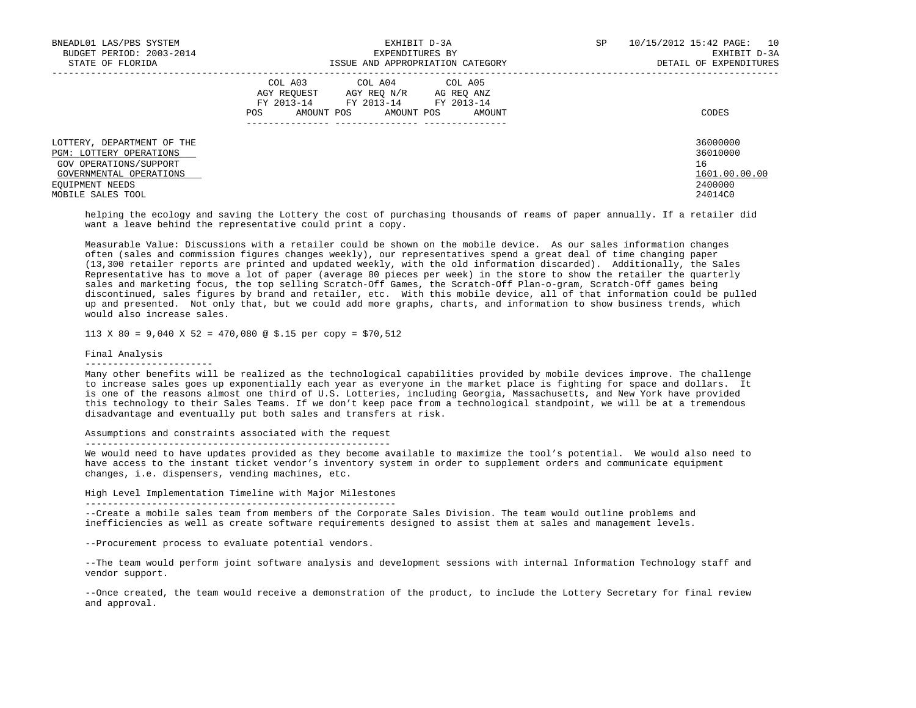| BNEADL01 LAS/PBS SYSTEM        | EXHIBIT D-3A                                                                                            | SP | 10/15/2012 15:42 PAGE: 10 |
|--------------------------------|---------------------------------------------------------------------------------------------------------|----|---------------------------|
| BUDGET PERIOD: 2003-2014       | EXPENDITURES BY                                                                                         |    | EXHIBIT D-3A              |
| STATE OF FLORIDA               | ISSUE AND APPROPRIATION CATEGORY                                                                        |    | DETAIL OF EXPENDITURES    |
|                                | COL A03 COL A04 COL A05<br>AGY REOUEST AGY REO N/R<br>AG REO ANZ<br>FY 2013-14<br>FY 2013-14 FY 2013-14 |    |                           |
|                                | AMOUNT POS<br>POS<br>AMOUNT POS<br>AMOUNT                                                               |    | CODES                     |
| LOTTERY, DEPARTMENT OF THE     |                                                                                                         |    | 36000000                  |
| <b>PGM: LOTTERY OPERATIONS</b> |                                                                                                         |    | 36010000                  |
| GOV OPERATIONS/SUPPORT         |                                                                                                         |    | 16                        |
| GOVERNMENTAL OPERATIONS        |                                                                                                         |    | 1601.00.00.00             |
| EQUIPMENT NEEDS                |                                                                                                         |    | 2400000                   |
| MOBILE SALES TOOL              |                                                                                                         |    | 24014C0                   |

 helping the ecology and saving the Lottery the cost of purchasing thousands of reams of paper annually. If a retailer did want a leave behind the representative could print a copy.

 Measurable Value: Discussions with a retailer could be shown on the mobile device. As our sales information changes often (sales and commission figures changes weekly), our representatives spend a great deal of time changing paper (13,300 retailer reports are printed and updated weekly, with the old information discarded). Additionally, the Sales Representative has to move a lot of paper (average 80 pieces per week) in the store to show the retailer the quarterly sales and marketing focus, the top selling Scratch-Off Games, the Scratch-Off Plan-o-gram, Scratch-Off games being discontinued, sales figures by brand and retailer, etc. With this mobile device, all of that information could be pulled up and presented. Not only that, but we could add more graphs, charts, and information to show business trends, which would also increase sales.

113 X 80 = 9,040 X 52 = 470,080 @ \$.15 per copy = \$70,512

### Final Analysis

-----------------------

 Many other benefits will be realized as the technological capabilities provided by mobile devices improve. The challenge to increase sales goes up exponentially each year as everyone in the market place is fighting for space and dollars. It is one of the reasons almost one third of U.S. Lotteries, including Georgia, Massachusetts, and New York have provided this technology to their Sales Teams. If we don't keep pace from a technological standpoint, we will be at a tremendous disadvantage and eventually put both sales and transfers at risk.

Assumptions and constraints associated with the request

-------------------------------------------------------

 We would need to have updates provided as they become available to maximize the tool's potential. We would also need to have access to the instant ticket vendor's inventory system in order to supplement orders and communicate equipment changes, i.e. dispensers, vending machines, etc.

High Level Implementation Timeline with Major Milestones

--------------------------------------------------------

 --Create a mobile sales team from members of the Corporate Sales Division. The team would outline problems and inefficiencies as well as create software requirements designed to assist them at sales and management levels.

--Procurement process to evaluate potential vendors.

 --The team would perform joint software analysis and development sessions with internal Information Technology staff and vendor support.

 --Once created, the team would receive a demonstration of the product, to include the Lottery Secretary for final review and approval.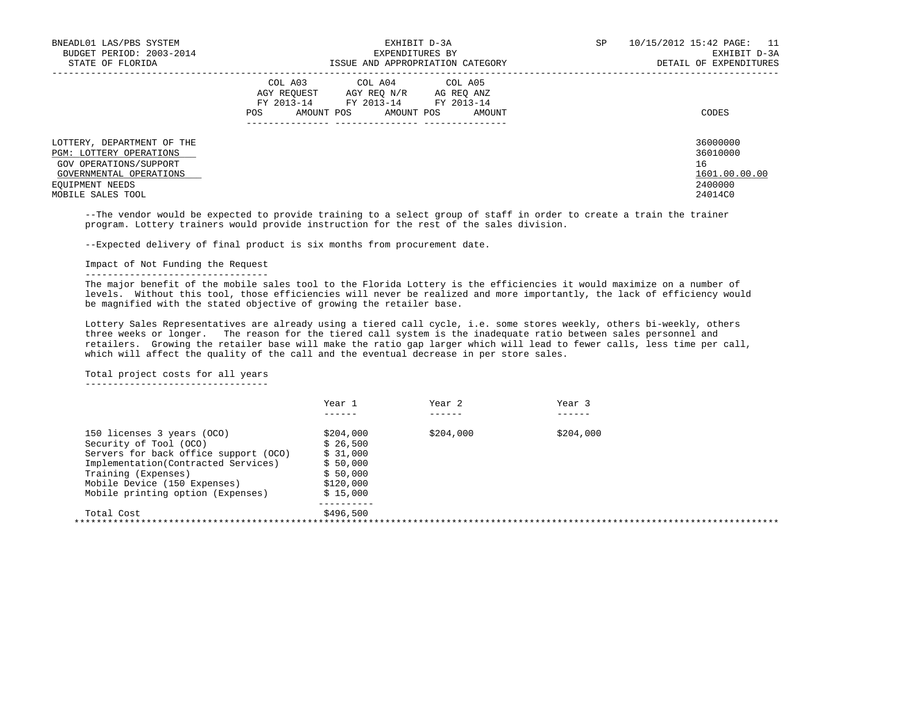| BNEADL01 LAS/PBS SYSTEM<br>BUDGET PERIOD: 2003-2014<br>STATE OF FLORIDA                                                              | EXHIBIT D-3A<br>EXPENDITURES BY<br>ISSUE AND APPROPRIATION CATEGORY                                                                                     | 10/15/2012 15:42 PAGE: 11<br>SP<br>EXHIBIT D-3A<br>DETAIL OF EXPENDITURES |
|--------------------------------------------------------------------------------------------------------------------------------------|---------------------------------------------------------------------------------------------------------------------------------------------------------|---------------------------------------------------------------------------|
|                                                                                                                                      | COL A03<br>COL A04 COL A05<br>AGY REOUEST<br>AGY REO N/R AG REO ANZ<br>FY 2013-14<br>FY 2013-14 FY 2013-14<br>AMOUNT POS<br>POS<br>AMOUNT POS<br>AMOUNT | CODES                                                                     |
| LOTTERY, DEPARTMENT OF THE<br><b>PGM: LOTTERY OPERATIONS</b><br>GOV OPERATIONS/SUPPORT<br>GOVERNMENTAL OPERATIONS<br>EQUIPMENT NEEDS |                                                                                                                                                         | 36000000<br>36010000<br>16<br>1601.00.00.00<br>2400000                    |
| MOBILE SALES TOOL                                                                                                                    |                                                                                                                                                         | 24014C0                                                                   |

 --The vendor would be expected to provide training to a select group of staff in order to create a train the trainer program. Lottery trainers would provide instruction for the rest of the sales division.

--Expected delivery of final product is six months from procurement date.

# Impact of Not Funding the Request

---------------------------------

 The major benefit of the mobile sales tool to the Florida Lottery is the efficiencies it would maximize on a number of levels. Without this tool, those efficiencies will never be realized and more importantly, the lack of efficiency would be magnified with the stated objective of growing the retailer base.

 Lottery Sales Representatives are already using a tiered call cycle, i.e. some stores weekly, others bi-weekly, others three weeks or longer. The reason for the tiered call system is the inadequate ratio between sales personnel and retailers. Growing the retailer base will make the ratio gap larger which will lead to fewer calls, less time per call, which will affect the quality of the call and the eventual decrease in per store sales.

Total project costs for all years

---------------------------------

|                                       | Year 1    | Year 2    | Year 3    |  |
|---------------------------------------|-----------|-----------|-----------|--|
|                                       |           |           |           |  |
| 150 licenses 3 years (OCO)            | \$204,000 | \$204,000 | \$204,000 |  |
| Security of Tool (OCO)                | \$26,500  |           |           |  |
| Servers for back office support (OCO) | \$31,000  |           |           |  |
| Implementation(Contracted Services)   | \$50,000  |           |           |  |
| Training (Expenses)                   | \$50,000  |           |           |  |
| Mobile Device (150 Expenses)          | \$120,000 |           |           |  |
| Mobile printing option (Expenses)     | \$15,000  |           |           |  |
|                                       |           |           |           |  |
| Total Cost                            | \$496,500 |           |           |  |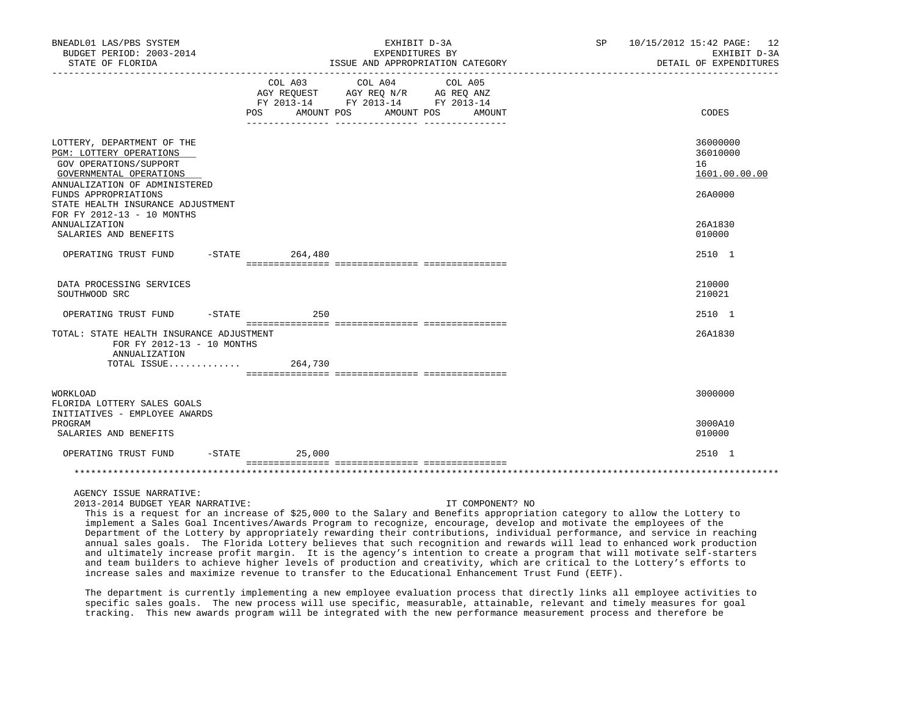| BNEADL01 LAS/PBS SYSTEM<br>BUDGET PERIOD: 2003-2014                                                                                                                                    |          |                                                                                                                              | EXHIBIT D-3A<br>EXPENDITURES BY                                                   |         |                  | SP | 10/15/2012 15:42 PAGE: 12<br>EXHIBIT D-3A   |
|----------------------------------------------------------------------------------------------------------------------------------------------------------------------------------------|----------|------------------------------------------------------------------------------------------------------------------------------|-----------------------------------------------------------------------------------|---------|------------------|----|---------------------------------------------|
| STATE OF FLORIDA                                                                                                                                                                       |          |                                                                                                                              | ISSUE AND APPROPRIATION CATEGORY                                                  |         |                  |    | DETAIL OF EXPENDITURES                      |
|                                                                                                                                                                                        |          | COL A03                                                                                                                      | COL A04<br>AGY REQUEST AGY REQ N/R AG REQ ANZ<br>FY 2013-14 FY 2013-14 FY 2013-14 | COL A05 |                  |    |                                             |
|                                                                                                                                                                                        |          | AMOUNT POS<br>POS FOR THE POST OF THE STATE STATE STATE STATE STATE STATE STATE STATE STATE STATE STATE STATE STATE STATE ST | AMOUNT POS                                                                        |         | AMOUNT           |    | CODES                                       |
| LOTTERY, DEPARTMENT OF THE<br>PGM: LOTTERY OPERATIONS<br>GOV OPERATIONS/SUPPORT<br>GOVERNMENTAL OPERATIONS<br>ANNUALIZATION OF ADMINISTERED                                            |          |                                                                                                                              |                                                                                   |         |                  |    | 36000000<br>36010000<br>16<br>1601.00.00.00 |
| FUNDS APPROPRIATIONS<br>STATE HEALTH INSURANCE ADJUSTMENT<br>FOR FY 2012-13 - 10 MONTHS                                                                                                |          |                                                                                                                              |                                                                                   |         |                  |    | 26A0000                                     |
| <b>ANNUALIZATION</b><br>SALARIES AND BENEFITS                                                                                                                                          |          |                                                                                                                              |                                                                                   |         |                  |    | 26A1830<br>010000                           |
| OPERATING TRUST FUND                                                                                                                                                                   |          | $-$ STATE 264,480                                                                                                            |                                                                                   |         |                  |    | 2510 1                                      |
| DATA PROCESSING SERVICES<br>SOUTHWOOD SRC                                                                                                                                              |          |                                                                                                                              |                                                                                   |         |                  |    | 210000<br>210021                            |
| OPERATING TRUST FUND -STATE 250                                                                                                                                                        |          |                                                                                                                              |                                                                                   |         |                  |    | 2510 1                                      |
| TOTAL: STATE HEALTH INSURANCE ADJUSTMENT<br>FOR FY 2012-13 - 10 MONTHS<br>ANNUALIZATION<br>TOTAL ISSUE                                                                                 |          | 264,730                                                                                                                      |                                                                                   |         |                  |    | 26A1830                                     |
| WORKLOAD<br>FLORIDA LOTTERY SALES GOALS<br>INITIATIVES - EMPLOYEE AWARDS                                                                                                               |          |                                                                                                                              |                                                                                   |         |                  |    | 3000000                                     |
| PROGRAM<br>SALARIES AND BENEFITS                                                                                                                                                       |          |                                                                                                                              |                                                                                   |         |                  |    | 3000A10<br>010000                           |
| OPERATING TRUST FUND                                                                                                                                                                   | $-STATE$ | 25,000                                                                                                                       |                                                                                   |         |                  |    | 2510 1                                      |
|                                                                                                                                                                                        |          |                                                                                                                              |                                                                                   |         |                  |    |                                             |
| AGENCY ISSUE NARRATIVE:<br>2013-2014 BUDGET YEAR NARRATIVE:<br>This is a request for an increase of \$25,000 to the Salary and Benefits appropriation category to allow the Lottery to |          |                                                                                                                              |                                                                                   |         | IT COMPONENT? NO |    |                                             |

 implement a Sales Goal Incentives/Awards Program to recognize, encourage, develop and motivate the employees of the Department of the Lottery by appropriately rewarding their contributions, individual performance, and service in reaching annual sales goals. The Florida Lottery believes that such recognition and rewards will lead to enhanced work production and ultimately increase profit margin. It is the agency's intention to create a program that will motivate self-starters and team builders to achieve higher levels of production and creativity, which are critical to the Lottery's efforts to increase sales and maximize revenue to transfer to the Educational Enhancement Trust Fund (EETF).

 The department is currently implementing a new employee evaluation process that directly links all employee activities to specific sales goals. The new process will use specific, measurable, attainable, relevant and timely measures for goal tracking. This new awards program will be integrated with the new performance measurement process and therefore be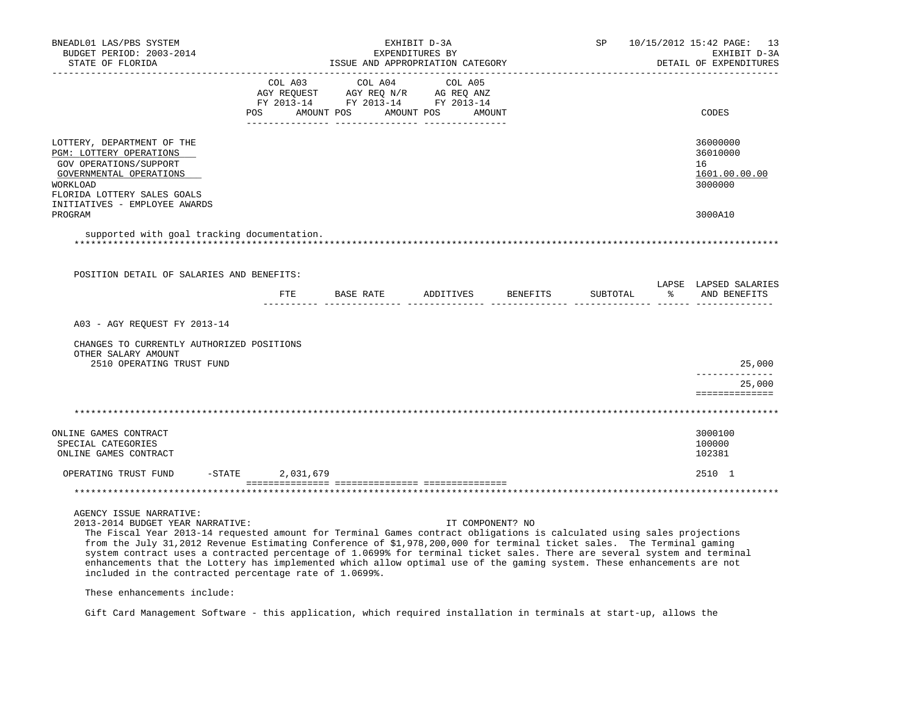| BNEADL01 LAS/PBS SYSTEM<br>BUDGET PERIOD: 2003-2014<br>STATE OF FLORIDA                                                                                                                                                                                                                                                                                                                                                                                                                                                                                                                                                        |                        |                                         | EXHIBIT D-3A<br>EXPENDITURES BY<br>ISSUE AND APPROPRIATION CATEGORY |                  | SP       | 10/15/2012 15:42 PAGE: 13<br>EXHIBIT D-3A<br>DETAIL OF EXPENDITURES |
|--------------------------------------------------------------------------------------------------------------------------------------------------------------------------------------------------------------------------------------------------------------------------------------------------------------------------------------------------------------------------------------------------------------------------------------------------------------------------------------------------------------------------------------------------------------------------------------------------------------------------------|------------------------|-----------------------------------------|---------------------------------------------------------------------|------------------|----------|---------------------------------------------------------------------|
|                                                                                                                                                                                                                                                                                                                                                                                                                                                                                                                                                                                                                                | COL A03<br>POS         | COL A04<br>AMOUNT POS AMOUNT POS AMOUNT | COL A05                                                             |                  |          | CODES                                                               |
| LOTTERY, DEPARTMENT OF THE<br>PGM: LOTTERY OPERATIONS<br>GOV OPERATIONS/SUPPORT<br>GOVERNMENTAL OPERATIONS<br>WORKLOAD<br>FLORIDA LOTTERY SALES GOALS<br>INITIATIVES - EMPLOYEE AWARDS                                                                                                                                                                                                                                                                                                                                                                                                                                         |                        |                                         |                                                                     |                  |          | 36000000<br>36010000<br>16<br>1601.00.00.00<br>3000000              |
| PROGRAM                                                                                                                                                                                                                                                                                                                                                                                                                                                                                                                                                                                                                        |                        |                                         |                                                                     |                  |          | 3000A10                                                             |
| supported with goal tracking documentation.<br>POSITION DETAIL OF SALARIES AND BENEFITS:                                                                                                                                                                                                                                                                                                                                                                                                                                                                                                                                       |                        |                                         |                                                                     |                  |          |                                                                     |
|                                                                                                                                                                                                                                                                                                                                                                                                                                                                                                                                                                                                                                |                        | FTE BASE RATE ADDITIVES BENEFITS        |                                                                     |                  | SUBTOTAL | LAPSE LAPSED SALARIES<br>% AND BENEFITS                             |
| A03 - AGY REQUEST FY 2013-14<br>CHANGES TO CURRENTLY AUTHORIZED POSITIONS<br>OTHER SALARY AMOUNT<br>2510 OPERATING TRUST FUND                                                                                                                                                                                                                                                                                                                                                                                                                                                                                                  |                        |                                         |                                                                     |                  |          | 25,000<br><u> - - - - - - - - - - - - - -</u>                       |
|                                                                                                                                                                                                                                                                                                                                                                                                                                                                                                                                                                                                                                |                        |                                         |                                                                     |                  |          | 25,000<br>==============                                            |
|                                                                                                                                                                                                                                                                                                                                                                                                                                                                                                                                                                                                                                |                        |                                         |                                                                     |                  |          |                                                                     |
| ONLINE GAMES CONTRACT<br>SPECIAL CATEGORIES<br>ONLINE GAMES CONTRACT                                                                                                                                                                                                                                                                                                                                                                                                                                                                                                                                                           |                        |                                         |                                                                     |                  |          | 3000100<br>100000<br>102381                                         |
| OPERATING TRUST FUND                                                                                                                                                                                                                                                                                                                                                                                                                                                                                                                                                                                                           | $-$ STATE<br>2,031,679 |                                         |                                                                     |                  |          | 2510 1                                                              |
|                                                                                                                                                                                                                                                                                                                                                                                                                                                                                                                                                                                                                                |                        |                                         |                                                                     |                  |          |                                                                     |
| AGENCY ISSUE NARRATIVE:<br>2013-2014 BUDGET YEAR NARRATIVE:<br>The Fiscal Year 2013-14 requested amount for Terminal Games contract obligations is calculated using sales projections<br>from the July 31,2012 Revenue Estimating Conference of \$1,978,200,000 for terminal ticket sales. The Terminal gaming<br>system contract uses a contracted percentage of 1.0699% for terminal ticket sales. There are several system and terminal<br>enhancements that the Lottery has implemented which allow optimal use of the gaming system. These enhancements are not<br>included in the contracted percentage rate of 1.0699%. |                        |                                         |                                                                     | IT COMPONENT? NO |          |                                                                     |

These enhancements include:

Gift Card Management Software - this application, which required installation in terminals at start-up, allows the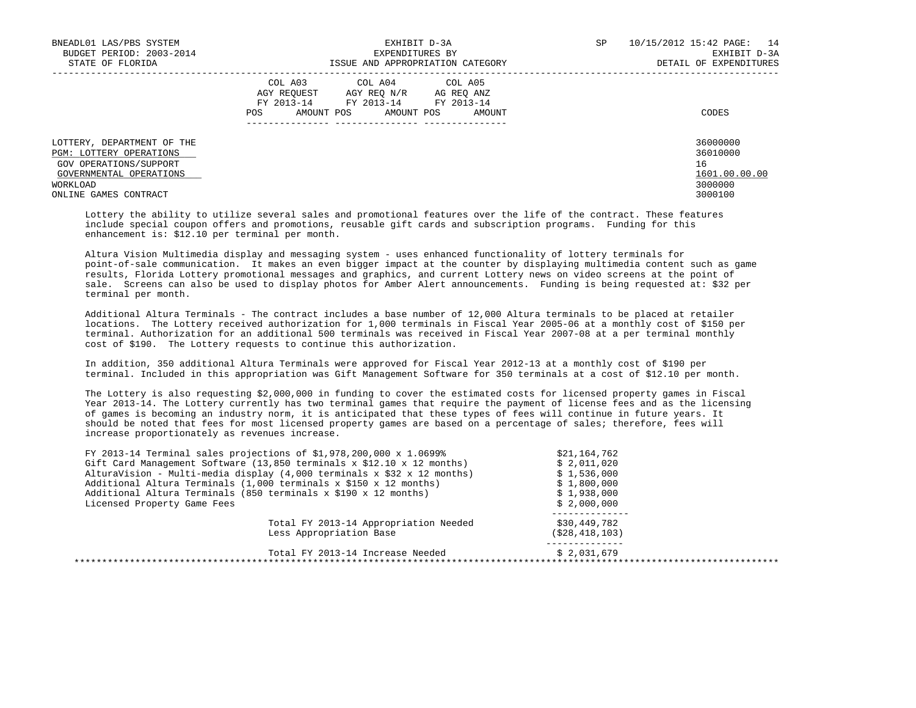| BNEADL01 LAS/PBS SYSTEM<br>BUDGET PERIOD: 2003-2014<br>STATE OF FLORIDA                                                                                | EXHIBIT D-3A<br>EXPENDITURES BY<br>ISSUE AND APPROPRIATION CATEGORY                                                                                     | SP | 10/15/2012 15:42 PAGE: 14<br>EXHIBIT D-3A<br>DETAIL OF EXPENDITURES |
|--------------------------------------------------------------------------------------------------------------------------------------------------------|---------------------------------------------------------------------------------------------------------------------------------------------------------|----|---------------------------------------------------------------------|
|                                                                                                                                                        | COL A03<br>COL A04 COL A05<br>AGY REOUEST AGY REO N/R<br>AG REO ANZ<br>FY 2013-14<br>FY 2013-14 FY 2013-14<br>AMOUNT POS<br>POS<br>AMOUNT POS<br>AMOUNT |    | CODES                                                               |
| LOTTERY, DEPARTMENT OF THE<br><b>PGM: LOTTERY OPERATIONS</b><br>GOV OPERATIONS/SUPPORT<br>GOVERNMENTAL OPERATIONS<br>WORKLOAD<br>ONLINE GAMES CONTRACT |                                                                                                                                                         |    | 36000000<br>36010000<br>16<br>1601.00.00.00<br>3000000<br>3000100   |

 Lottery the ability to utilize several sales and promotional features over the life of the contract. These features include special coupon offers and promotions, reusable gift cards and subscription programs. Funding for this enhancement is: \$12.10 per terminal per month.

 Altura Vision Multimedia display and messaging system - uses enhanced functionality of lottery terminals for point-of-sale communication. It makes an even bigger impact at the counter by displaying multimedia content such as game results, Florida Lottery promotional messages and graphics, and current Lottery news on video screens at the point of sale. Screens can also be used to display photos for Amber Alert announcements. Funding is being requested at: \$32 per terminal per month.

 Additional Altura Terminals - The contract includes a base number of 12,000 Altura terminals to be placed at retailer locations. The Lottery received authorization for 1,000 terminals in Fiscal Year 2005-06 at a monthly cost of \$150 per terminal. Authorization for an additional 500 terminals was received in Fiscal Year 2007-08 at a per terminal monthly cost of \$190. The Lottery requests to continue this authorization.

 In addition, 350 additional Altura Terminals were approved for Fiscal Year 2012-13 at a monthly cost of \$190 per terminal. Included in this appropriation was Gift Management Software for 350 terminals at a cost of \$12.10 per month.

 The Lottery is also requesting \$2,000,000 in funding to cover the estimated costs for licensed property games in Fiscal Year 2013-14. The Lottery currently has two terminal games that require the payment of license fees and as the licensing of games is becoming an industry norm, it is anticipated that these types of fees will continue in future years. It should be noted that fees for most licensed property games are based on a percentage of sales; therefore, fees will increase proportionately as revenues increase.

| FY 2013-14 Terminal sales projections of \$1,978,200,000 $x$ 1.0699%         | \$21,164,762      |
|------------------------------------------------------------------------------|-------------------|
| Gift Card Management Software (13,850 terminals x $$12.10 \times 12$ months) | \$2,011,020       |
| AlturaVision - Multi-media display $(4,000$ terminals x \$32 x 12 months)    | \$1,536,000       |
| Additional Altura Terminals (1,000 terminals x \$150 x 12 months)            | \$1,800,000       |
| Additional Altura Terminals (850 terminals x \$190 x 12 months)              | \$1,938,000       |
| Licensed Property Game Fees                                                  | \$2,000,000       |
| Total FY 2013-14 Appropriation Needed                                        | \$30,449,782      |
| Less Appropriation Base                                                      | ( \$28, 418, 103) |
| Total FY 2013-14 Increase Needed                                             | \$2.031.679       |
|                                                                              |                   |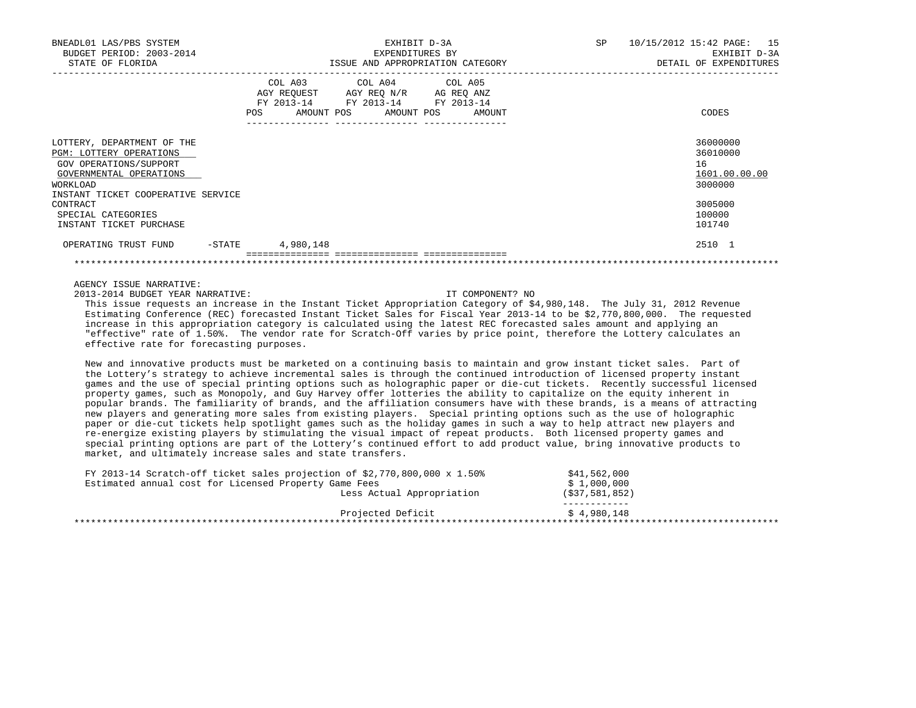| BNEADL01 LAS/PBS SYSTEM<br>BUDGET PERIOD: 2003-2014<br>STATE OF FLORIDA                                                                                                  | EXHIBIT D-3A<br>EXPENDITURES BY<br>ISSUE AND APPROPRIATION CATEGORY                                                                      | 10/15/2012 15:42 PAGE: 15<br>SP<br>EXHIBIT D-3A<br>DETAIL OF EXPENDITURES |
|--------------------------------------------------------------------------------------------------------------------------------------------------------------------------|------------------------------------------------------------------------------------------------------------------------------------------|---------------------------------------------------------------------------|
|                                                                                                                                                                          | COL A03 COL A04 COL A05<br>AGY REQUEST AGY REQ N/R AG REQ ANZ<br>FY 2013-14 FY 2013-14 FY 2013-14<br>AMOUNT POS AMOUNT POS AMOUNT<br>POS | CODES                                                                     |
| LOTTERY, DEPARTMENT OF THE<br>PGM: LOTTERY OPERATIONS<br>GOV OPERATIONS/SUPPORT<br>GOVERNMENTAL OPERATIONS<br>WORKLOAD<br>INSTANT TICKET COOPERATIVE SERVICE<br>CONTRACT |                                                                                                                                          | 36000000<br>36010000<br>16<br>1601.00.00.00<br>3000000<br>3005000         |
| SPECIAL CATEGORIES<br>INSTANT TICKET PURCHASE                                                                                                                            |                                                                                                                                          | 100000<br>101740                                                          |
| -STATE<br>OPERATING TRUST FUND                                                                                                                                           | 4,980,148                                                                                                                                | 2510 1                                                                    |

2013-2014 BUDGET YEAR NARRATIVE: IT COMPONENT? NO

 This issue requests an increase in the Instant Ticket Appropriation Category of \$4,980,148. The July 31, 2012 Revenue Estimating Conference (REC) forecasted Instant Ticket Sales for Fiscal Year 2013-14 to be \$2,770,800,000. The requested increase in this appropriation category is calculated using the latest REC forecasted sales amount and applying an "effective" rate of 1.50%. The vendor rate for Scratch-Off varies by price point, therefore the Lottery calculates an effective rate for forecasting purposes.

\*\*\*\*\*\*\*\*\*\*\*\*\*\*\*\*\*\*\*\*\*\*\*\*\*\*\*\*\*\*\*\*\*\*\*\*\*\*\*\*\*\*\*\*\*\*\*\*\*\*\*\*\*\*\*\*\*\*\*\*\*\*\*\*\*\*\*\*\*\*\*\*\*\*\*\*\*\*\*\*\*\*\*\*\*\*\*\*\*\*\*\*\*\*\*\*\*\*\*\*\*\*\*\*\*\*\*\*\*\*\*\*\*\*\*\*\*\*\*\*\*\*\*\*\*\*\*

 New and innovative products must be marketed on a continuing basis to maintain and grow instant ticket sales. Part of the Lottery's strategy to achieve incremental sales is through the continued introduction of licensed property instant games and the use of special printing options such as holographic paper or die-cut tickets. Recently successful licensed property games, such as Monopoly, and Guy Harvey offer lotteries the ability to capitalize on the equity inherent in popular brands. The familiarity of brands, and the affiliation consumers have with these brands, is a means of attracting new players and generating more sales from existing players. Special printing options such as the use of holographic paper or die-cut tickets help spotlight games such as the holiday games in such a way to help attract new players and re-energize existing players by stimulating the visual impact of repeat products. Both licensed property games and special printing options are part of the Lottery's continued effort to add product value, bring innovative products to market, and ultimately increase sales and state transfers.

| FY 2013-14 Scratch-off ticket sales projection of $$2,770,800,000 \times 1.50$ |                           | \$41,562,000      |  |
|--------------------------------------------------------------------------------|---------------------------|-------------------|--|
| Estimated annual cost for Licensed Property Game Fees                          |                           | \$1,000,000       |  |
|                                                                                | Less Actual Appropriation | $($ \$37,581,852) |  |
|                                                                                | Projected Deficit         | \$4.980.148       |  |
|                                                                                |                           |                   |  |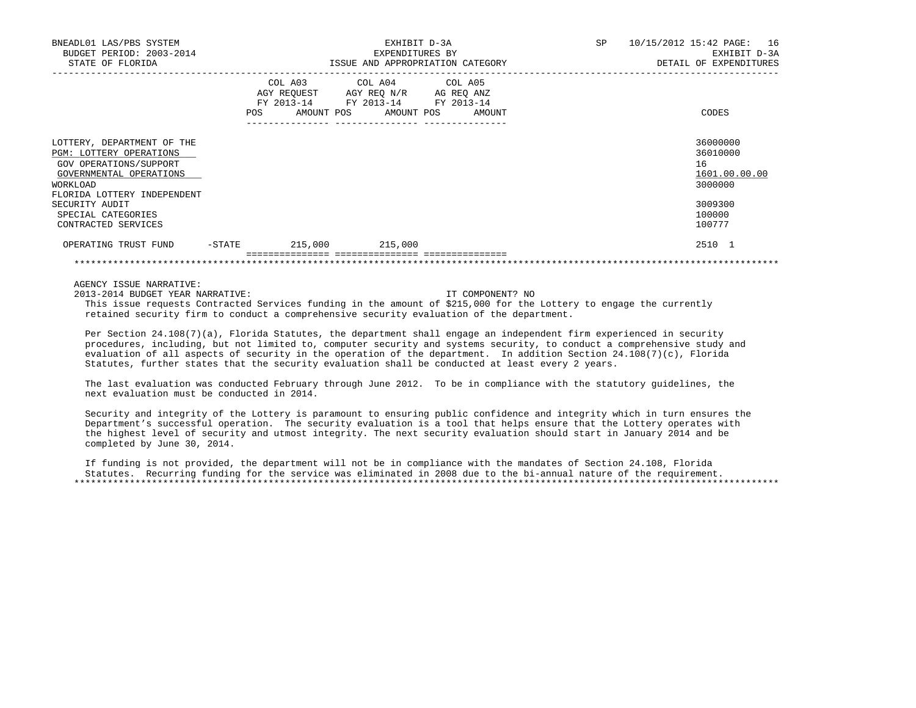| BUDGET PERIOD: 2003-2014<br>STATE OF FLORIDA                                                                                                                                                                         |        |         |                                                                                                   | EXHIBIT D-3A<br>EXPENDITURES BY<br>ISSUE AND APPROPRIATION CATEGORY | SP | 10/15/2012 15:42 PAGE: 16<br>EXHIBIT D-3A<br>DETAIL OF EXPENDITURES                   |
|----------------------------------------------------------------------------------------------------------------------------------------------------------------------------------------------------------------------|--------|---------|---------------------------------------------------------------------------------------------------|---------------------------------------------------------------------|----|---------------------------------------------------------------------------------------|
|                                                                                                                                                                                                                      | POS    |         | COL A03 COL A04 COL A05<br>AGY REQUEST AGY REQ N/R AG REQ ANZ<br>FY 2013-14 FY 2013-14 FY 2013-14 | AMOUNT POS AMOUNT POS AMOUNT                                        |    | CODES                                                                                 |
| LOTTERY, DEPARTMENT OF THE<br>PGM: LOTTERY OPERATIONS<br>GOV OPERATIONS/SUPPORT<br>GOVERNMENTAL OPERATIONS<br>WORKLOAD<br>FLORIDA LOTTERY INDEPENDENT<br>SECURITY AUDIT<br>SPECIAL CATEGORIES<br>CONTRACTED SERVICES |        |         |                                                                                                   |                                                                     |    | 36000000<br>36010000<br>16<br>1601.00.00.00<br>3000000<br>3009300<br>100000<br>100777 |
| OPERATING TRUST FUND                                                                                                                                                                                                 | -STATE | 215,000 | 215,000                                                                                           |                                                                     |    | 2510 1                                                                                |

2013-2014 BUDGET YEAR NARRATIVE: IT COMPONENT? NO

 This issue requests Contracted Services funding in the amount of \$215,000 for the Lottery to engage the currently retained security firm to conduct a comprehensive security evaluation of the department.

 Per Section 24.108(7)(a), Florida Statutes, the department shall engage an independent firm experienced in security procedures, including, but not limited to, computer security and systems security, to conduct a comprehensive study and evaluation of all aspects of security in the operation of the department. In addition Section 24.108(7)(c), Florida Statutes, further states that the security evaluation shall be conducted at least every 2 years.

\*\*\*\*\*\*\*\*\*\*\*\*\*\*\*\*\*\*\*\*\*\*\*\*\*\*\*\*\*\*\*\*\*\*\*\*\*\*\*\*\*\*\*\*\*\*\*\*\*\*\*\*\*\*\*\*\*\*\*\*\*\*\*\*\*\*\*\*\*\*\*\*\*\*\*\*\*\*\*\*\*\*\*\*\*\*\*\*\*\*\*\*\*\*\*\*\*\*\*\*\*\*\*\*\*\*\*\*\*\*\*\*\*\*\*\*\*\*\*\*\*\*\*\*\*\*\*

 The last evaluation was conducted February through June 2012. To be in compliance with the statutory guidelines, the next evaluation must be conducted in 2014.

 Security and integrity of the Lottery is paramount to ensuring public confidence and integrity which in turn ensures the Department's successful operation. The security evaluation is a tool that helps ensure that the Lottery operates with the highest level of security and utmost integrity. The next security evaluation should start in January 2014 and be completed by June 30, 2014.

 If funding is not provided, the department will not be in compliance with the mandates of Section 24.108, Florida Statutes. Recurring funding for the service was eliminated in 2008 due to the bi-annual nature of the requirement. \*\*\*\*\*\*\*\*\*\*\*\*\*\*\*\*\*\*\*\*\*\*\*\*\*\*\*\*\*\*\*\*\*\*\*\*\*\*\*\*\*\*\*\*\*\*\*\*\*\*\*\*\*\*\*\*\*\*\*\*\*\*\*\*\*\*\*\*\*\*\*\*\*\*\*\*\*\*\*\*\*\*\*\*\*\*\*\*\*\*\*\*\*\*\*\*\*\*\*\*\*\*\*\*\*\*\*\*\*\*\*\*\*\*\*\*\*\*\*\*\*\*\*\*\*\*\*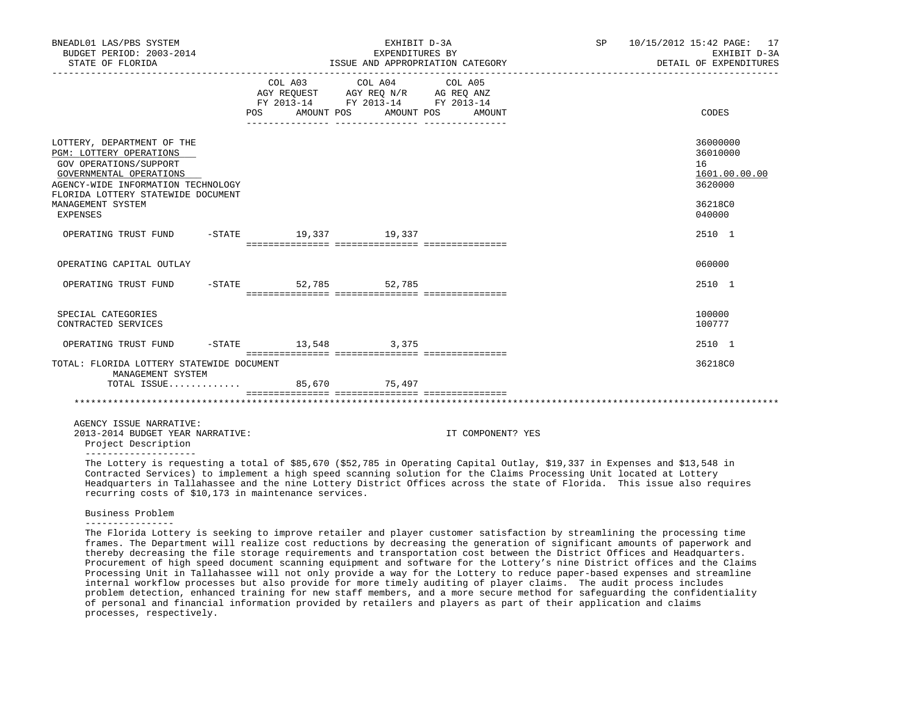| BNEADL01 LAS/PBS SYSTEM<br>BUDGET PERIOD: 2003-2014<br>STATE OF FLORIDA                                                                                                                                                 |                                  |                                                                                                   | EXHIBIT D-3A<br>EXPENDITURES BY<br>ISSUE AND APPROPRIATION CATEGORY |                   |       | SP 10/15/2012 15:42 PAGE: 17<br>EXHIBIT D-3A<br>DETAIL OF EXPENDITURES      |
|-------------------------------------------------------------------------------------------------------------------------------------------------------------------------------------------------------------------------|----------------------------------|---------------------------------------------------------------------------------------------------|---------------------------------------------------------------------|-------------------|-------|-----------------------------------------------------------------------------|
|                                                                                                                                                                                                                         | POS AMOUNT POS AMOUNT POS AMOUNT | COL A03 COL A04 COL A05<br>AGY REQUEST AGY REQ N/R AG REQ ANZ<br>FY 2013-14 FY 2013-14 FY 2013-14 |                                                                     |                   | CODES |                                                                             |
| LOTTERY, DEPARTMENT OF THE<br>PGM: LOTTERY OPERATIONS<br>GOV OPERATIONS/SUPPORT<br>GOVERNMENTAL OPERATIONS<br>AGENCY-WIDE INFORMATION TECHNOLOGY<br>FLORIDA LOTTERY STATEWIDE DOCUMENT<br>MANAGEMENT SYSTEM<br>EXPENSES |                                  |                                                                                                   |                                                                     |                   |       | 36000000<br>36010000<br>16<br>1601.00.00.00<br>3620000<br>36218C0<br>040000 |
| OPERATING TRUST FUND -STATE 19,337 19,337                                                                                                                                                                               |                                  |                                                                                                   |                                                                     |                   |       | 2510 1                                                                      |
| OPERATING CAPITAL OUTLAY                                                                                                                                                                                                |                                  |                                                                                                   |                                                                     |                   |       | 060000                                                                      |
| OPERATING TRUST FUND -STATE 52,785 52,785                                                                                                                                                                               |                                  |                                                                                                   |                                                                     |                   |       | 2510 1                                                                      |
| SPECIAL CATEGORIES<br>CONTRACTED SERVICES                                                                                                                                                                               |                                  |                                                                                                   |                                                                     |                   |       | 100000<br>100777                                                            |
| OPERATING TRUST FUND -STATE 13,548 3,375                                                                                                                                                                                |                                  |                                                                                                   |                                                                     |                   |       | 2510 1                                                                      |
| TOTAL: FLORIDA LOTTERY STATEWIDE DOCUMENT<br>MANAGEMENT SYSTEM<br>TOTAL ISSUE 85,670 75,497                                                                                                                             |                                  |                                                                                                   |                                                                     |                   |       | 36218C0                                                                     |
|                                                                                                                                                                                                                         |                                  |                                                                                                   |                                                                     |                   |       |                                                                             |
| AGENCY ISSUE NARRATIVE:<br>2013-2014 BUDGET YEAR NARRATIVE:<br>Project Description                                                                                                                                      |                                  |                                                                                                   |                                                                     | IT COMPONENT? YES |       |                                                                             |

--------------------

 The Lottery is requesting a total of \$85,670 (\$52,785 in Operating Capital Outlay, \$19,337 in Expenses and \$13,548 in Contracted Services) to implement a high speed scanning solution for the Claims Processing Unit located at Lottery Headquarters in Tallahassee and the nine Lottery District Offices across the state of Florida. This issue also requires recurring costs of \$10,173 in maintenance services.

# Business Problem

 The Florida Lottery is seeking to improve retailer and player customer satisfaction by streamlining the processing time frames. The Department will realize cost reductions by decreasing the generation of significant amounts of paperwork and thereby decreasing the file storage requirements and transportation cost between the District Offices and Headquarters. Procurement of high speed document scanning equipment and software for the Lottery's nine District offices and the Claims Processing Unit in Tallahassee will not only provide a way for the Lottery to reduce paper-based expenses and streamline internal workflow processes but also provide for more timely auditing of player claims. The audit process includes problem detection, enhanced training for new staff members, and a more secure method for safeguarding the confidentiality of personal and financial information provided by retailers and players as part of their application and claims processes, respectively.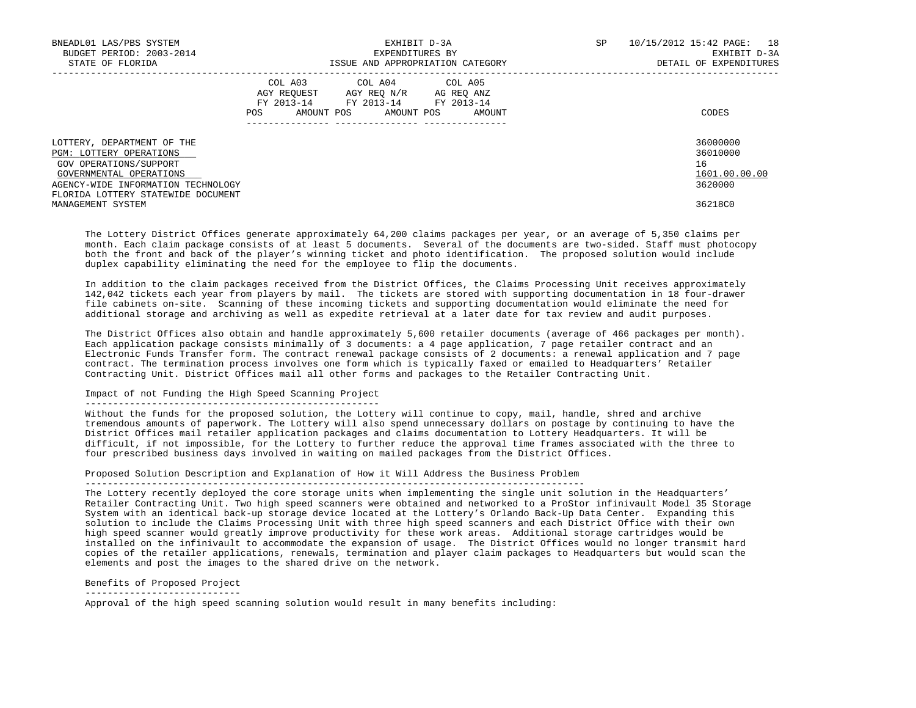| BNEADL01 LAS/PBS SYSTEM<br>BUDGET PERIOD: 2003-2014<br>STATE OF FLORIDA | EXHIBIT D-3A<br>EXPENDITURES BY<br>ISSUE AND APPROPRIATION CATEGORY                                     | SP | 10/15/2012 15:42 PAGE: 18<br>EXHIBIT D-3A<br>DETAIL OF EXPENDITURES |
|-------------------------------------------------------------------------|---------------------------------------------------------------------------------------------------------|----|---------------------------------------------------------------------|
|                                                                         |                                                                                                         |    |                                                                     |
|                                                                         | COL A03 COL A04 COL A05<br>AGY REOUEST<br>AGY REO N/R<br>AG REO ANZ<br>FY 2013-14 FY 2013-14 FY 2013-14 |    |                                                                     |
|                                                                         | AMOUNT POS<br>AMOUNT POS<br>POS<br>AMOUNT                                                               |    | CODES                                                               |
| LOTTERY, DEPARTMENT OF THE                                              |                                                                                                         |    | 36000000                                                            |
| <b>PGM: LOTTERY OPERATIONS</b>                                          |                                                                                                         |    | 36010000<br>16                                                      |
| GOV OPERATIONS/SUPPORT<br>GOVERNMENTAL OPERATIONS                       |                                                                                                         |    | 1601.00.00.00                                                       |
| AGENCY-WIDE INFORMATION TECHNOLOGY                                      |                                                                                                         |    | 3620000                                                             |
| FLORIDA LOTTERY STATEWIDE DOCUMENT                                      |                                                                                                         |    |                                                                     |
| MANAGEMENT SYSTEM                                                       |                                                                                                         |    | 36218C0                                                             |

 The Lottery District Offices generate approximately 64,200 claims packages per year, or an average of 5,350 claims per month. Each claim package consists of at least 5 documents. Several of the documents are two-sided. Staff must photocopy both the front and back of the player's winning ticket and photo identification. The proposed solution would include duplex capability eliminating the need for the employee to flip the documents.

 In addition to the claim packages received from the District Offices, the Claims Processing Unit receives approximately 142,042 tickets each year from players by mail. The tickets are stored with supporting documentation in 18 four-drawer file cabinets on-site. Scanning of these incoming tickets and supporting documentation would eliminate the need for additional storage and archiving as well as expedite retrieval at a later date for tax review and audit purposes.

 The District Offices also obtain and handle approximately 5,600 retailer documents (average of 466 packages per month). Each application package consists minimally of 3 documents: a 4 page application, 7 page retailer contract and an Electronic Funds Transfer form. The contract renewal package consists of 2 documents: a renewal application and 7 page contract. The termination process involves one form which is typically faxed or emailed to Headquarters' Retailer Contracting Unit. District Offices mail all other forms and packages to the Retailer Contracting Unit.

# Impact of not Funding the High Speed Scanning Project

### -----------------------------------------------------

 Without the funds for the proposed solution, the Lottery will continue to copy, mail, handle, shred and archive tremendous amounts of paperwork. The Lottery will also spend unnecessary dollars on postage by continuing to have the District Offices mail retailer application packages and claims documentation to Lottery Headquarters. It will be difficult, if not impossible, for the Lottery to further reduce the approval time frames associated with the three to four prescribed business days involved in waiting on mailed packages from the District Offices.

# Proposed Solution Description and Explanation of How it Will Address the Business Problem

------------------------------------------------------------------------------------------

 The Lottery recently deployed the core storage units when implementing the single unit solution in the Headquarters' Retailer Contracting Unit. Two high speed scanners were obtained and networked to a ProStor infinivault Model 35 Storage System with an identical back-up storage device located at the Lottery's Orlando Back-Up Data Center. Expanding this solution to include the Claims Processing Unit with three high speed scanners and each District Office with their own high speed scanner would greatly improve productivity for these work areas. Additional storage cartridges would be installed on the infinivault to accommodate the expansion of usage. The District Offices would no longer transmit hard copies of the retailer applications, renewals, termination and player claim packages to Headquarters but would scan the elements and post the images to the shared drive on the network.

Benefits of Proposed Project

----------------------------

Approval of the high speed scanning solution would result in many benefits including: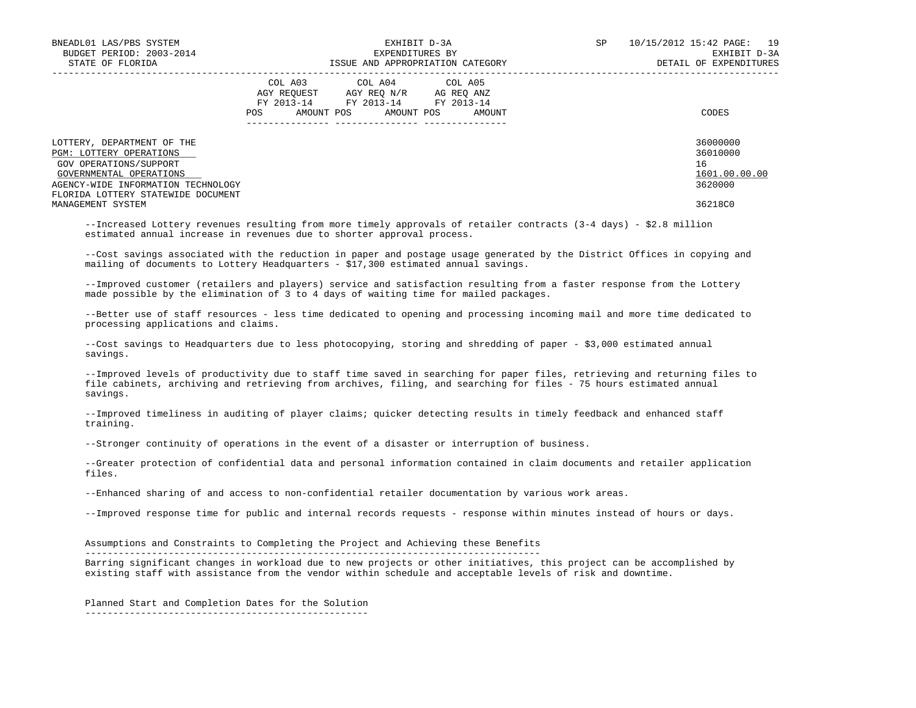| BNEADL01 LAS/PBS SYSTEM            | EXHIBIT D-3A                              | SP | 10/15/2012 15:42 PAGE: 19 |
|------------------------------------|-------------------------------------------|----|---------------------------|
| BUDGET PERIOD: 2003-2014           | EXPENDITURES BY                           |    | EXHIBIT D-3A              |
| STATE OF FLORIDA                   | ISSUE AND APPROPRIATION CATEGORY          |    | DETAIL OF EXPENDITURES    |
|                                    | COL A03 COL A04 COL A05                   |    |                           |
|                                    | AGY REOUEST<br>AGY REO N/R<br>AG REO ANZ  |    |                           |
|                                    | FY 2013-14 FY 2013-14 FY 2013-14          |    |                           |
|                                    | AMOUNT POS<br>AMOUNT POS<br>POS<br>AMOUNT |    | CODES                     |
|                                    |                                           |    |                           |
| LOTTERY, DEPARTMENT OF THE         |                                           |    | 36000000                  |
| <b>PGM: LOTTERY OPERATIONS</b>     |                                           |    | 36010000                  |
| GOV OPERATIONS/SUPPORT             |                                           |    | 16                        |
| GOVERNMENTAL OPERATIONS            |                                           |    | 1601.00.00.00             |
| AGENCY-WIDE INFORMATION TECHNOLOGY |                                           |    | 3620000                   |
| FLORIDA LOTTERY STATEWIDE DOCUMENT |                                           |    |                           |
| MANAGEMENT SYSTEM                  |                                           |    | 36218C0                   |

 --Increased Lottery revenues resulting from more timely approvals of retailer contracts (3-4 days) - \$2.8 million estimated annual increase in revenues due to shorter approval process.

 --Cost savings associated with the reduction in paper and postage usage generated by the District Offices in copying and mailing of documents to Lottery Headquarters - \$17,300 estimated annual savings.

 --Improved customer (retailers and players) service and satisfaction resulting from a faster response from the Lottery made possible by the elimination of 3 to 4 days of waiting time for mailed packages.

 --Better use of staff resources - less time dedicated to opening and processing incoming mail and more time dedicated to processing applications and claims.

--Cost savings to Headquarters due to less photocopying, storing and shredding of paper - \$3,000 estimated annual savings.

 --Improved levels of productivity due to staff time saved in searching for paper files, retrieving and returning files to file cabinets, archiving and retrieving from archives, filing, and searching for files - 75 hours estimated annual savings.

 --Improved timeliness in auditing of player claims; quicker detecting results in timely feedback and enhanced staff training.

--Stronger continuity of operations in the event of a disaster or interruption of business.

 --Greater protection of confidential data and personal information contained in claim documents and retailer application files.

--Enhanced sharing of and access to non-confidential retailer documentation by various work areas.

--Improved response time for public and internal records requests - response within minutes instead of hours or days.

 Assumptions and Constraints to Completing the Project and Achieving these Benefits ----------------------------------------------------------------------------------

 Barring significant changes in workload due to new projects or other initiatives, this project can be accomplished by existing staff with assistance from the vendor within schedule and acceptable levels of risk and downtime.

Planned Start and Completion Dates for the Solution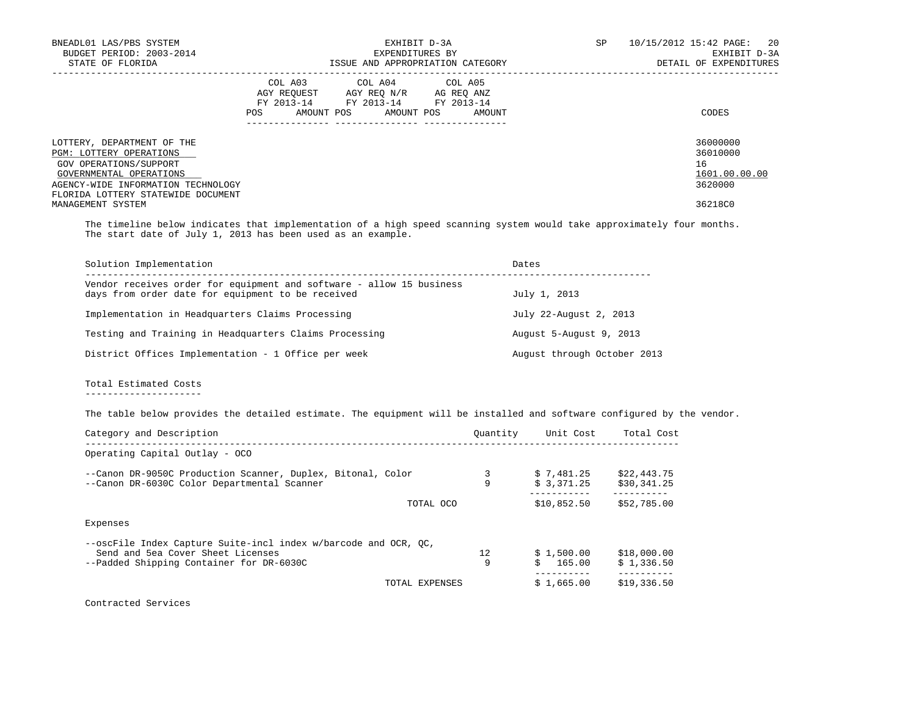| BNEADL01 LAS/PBS SYSTEM<br>BUDGET PERIOD: 2003-2014          | EXHIBIT D-3A<br>EXPENDITURES BY                                                                                                               | SP<br>10/15/2012 15:42 PAGE:<br>20<br>EXHIBIT D-3A |
|--------------------------------------------------------------|-----------------------------------------------------------------------------------------------------------------------------------------------|----------------------------------------------------|
| STATE OF FLORIDA                                             | ISSUE AND APPROPRIATION CATEGORY                                                                                                              | DETAIL OF EXPENDITURES                             |
|                                                              | COL A03 COL A04 COL A05<br>AGY REOUEST<br>AGY REO N/R<br>AG REO ANZ<br>FY 2013-14<br>FY 2013-14 FY 2013-14<br>AMOUNT POS<br>AMOUNT POS<br>POS | CODES<br>AMOUNT                                    |
|                                                              |                                                                                                                                               |                                                    |
| LOTTERY, DEPARTMENT OF THE<br><b>PGM: LOTTERY OPERATIONS</b> |                                                                                                                                               | 36000000<br>36010000                               |
| GOV OPERATIONS/SUPPORT                                       |                                                                                                                                               | 16                                                 |
| GOVERNMENTAL OPERATIONS                                      |                                                                                                                                               | 1601.00.00.00                                      |
| AGENCY-WIDE INFORMATION TECHNOLOGY                           |                                                                                                                                               | 3620000                                            |
| FLORIDA LOTTERY STATEWIDE DOCUMENT                           |                                                                                                                                               |                                                    |
| MANAGEMENT SYSTEM                                            |                                                                                                                                               | 36218C0                                            |

 The timeline below indicates that implementation of a high speed scanning system would take approximately four months. The start date of July 1, 2013 has been used as an example.

| Solution Implementation                                                                                                   | Dates                       |
|---------------------------------------------------------------------------------------------------------------------------|-----------------------------|
| Vendor receives order for equipment and software - allow 15 business<br>days from order date for equipment to be received | July 1, 2013                |
| Implementation in Headquarters Claims Processing                                                                          | July 22-August 2, 2013      |
| Testing and Training in Headquarters Claims Processing                                                                    | August 5-August 9, 2013     |
| District Offices Implementation - 1 Office per week                                                                       | August through October 2013 |

 Total Estimated Costs ---------------------

The table below provides the detailed estimate. The equipment will be installed and software configured by the vendor.

| Category and Description                                        | Ouantity | Unit Cost    | Total Cost  |
|-----------------------------------------------------------------|----------|--------------|-------------|
| Operating Capital Outlay - OCO                                  |          |              |             |
| --Canon DR-9050C Production Scanner, Duplex, Bitonal, Color     |          | \$7.481.25   | \$22,443.75 |
| --Canon DR-6030C Color Departmental Scanner                     | 9        | \$3,371.25   | \$30,341.25 |
| TOTAL OCO                                                       |          | \$10,852.50  | \$52,785.00 |
| Expenses                                                        |          |              |             |
| --oscFile Index Capture Suite-incl index w/barcode and OCR, OC, |          |              |             |
| Send and 5ea Cover Sheet Licenses                               | 12.      | \$1,500.00   | \$18,000.00 |
| --Padded Shipping Container for DR-6030C                        | 9        | 165.00<br>Ŝ. | \$1,336.50  |
| TOTAL EXPENSES                                                  |          | \$1,665.00   | \$19,336.50 |
|                                                                 |          |              |             |

Contracted Services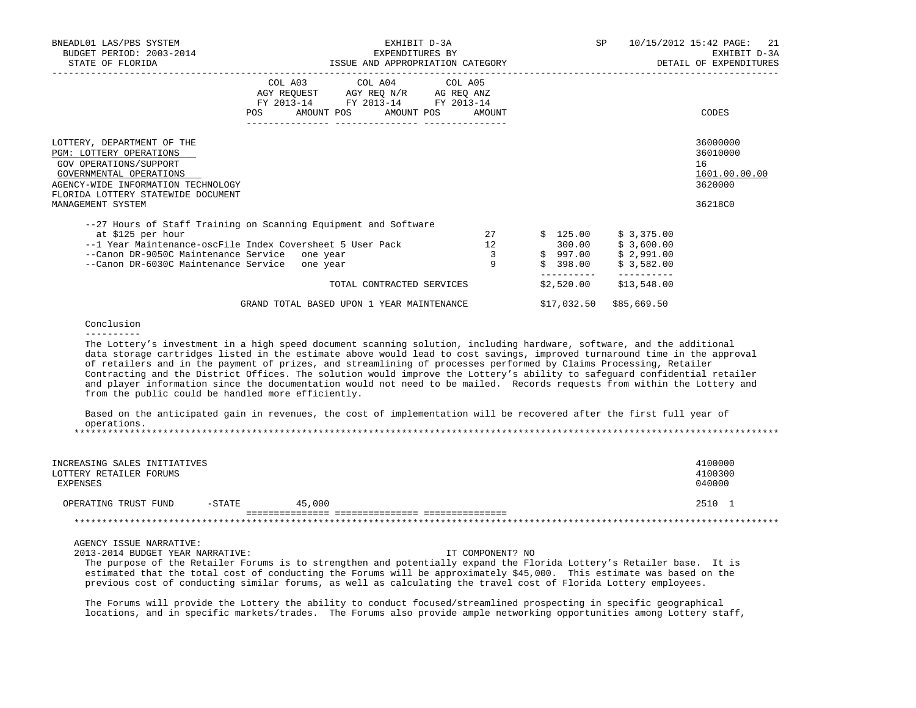| EXHIBIT D-3A<br>EXPENDITURES BY<br>ISSUE AND APPROPRIATION CATEGORY                            |                                                                        | SP and the set of the set of the set of the set of the set of the set of the set of the set of the set of the set of the set of the set of the set of the set of the set of the set of the set of the set of the set of the se | 10/15/2012 15:42 PAGE: 21<br>EXHIBIT D-3A<br>DETAIL OF EXPENDITURES                                                                                                                                         |
|------------------------------------------------------------------------------------------------|------------------------------------------------------------------------|--------------------------------------------------------------------------------------------------------------------------------------------------------------------------------------------------------------------------------|-------------------------------------------------------------------------------------------------------------------------------------------------------------------------------------------------------------|
| COL A03 COL A04 COL A05<br>FY 2013-14 FY 2013-14 FY 2013-14<br>AMOUNT POS AMOUNT POS<br>AMOUNT |                                                                        |                                                                                                                                                                                                                                | CODES                                                                                                                                                                                                       |
|                                                                                                |                                                                        |                                                                                                                                                                                                                                | 36000000<br>36010000<br>16<br>1601.00.00.00<br>3620000<br>36218C0                                                                                                                                           |
| 27<br>12<br>$\overline{3}$<br>9                                                                |                                                                        | \$ 3,375.00<br>\$ 3,600.00<br>\$3,582.00                                                                                                                                                                                       |                                                                                                                                                                                                             |
|                                                                                                | \$17,032.50                                                            | \$85,669.50                                                                                                                                                                                                                    |                                                                                                                                                                                                             |
|                                                                                                |                                                                        |                                                                                                                                                                                                                                |                                                                                                                                                                                                             |
|                                                                                                | TOTAL CONTRACTED SERVICES<br>GRAND TOTAL BASED UPON 1 YEAR MAINTENANCE |                                                                                                                                                                                                                                | \$125.00<br>300.00<br>$$997.00$ $$2,991.00$<br>398.00<br>\$2,520.00<br>\$13,548.00<br>The Lottery's investment in a high speed document scanning solution, including hardware, software, and the additional |

 data storage cartridges listed in the estimate above would lead to cost savings, improved turnaround time in the approval of retailers and in the payment of prizes, and streamlining of processes performed by Claims Processing, Retailer Contracting and the District Offices. The solution would improve the Lottery's ability to safeguard confidential retailer and player information since the documentation would not need to be mailed. Records requests from within the Lottery and from the public could be handled more efficiently.

|             |  |  |  |  | Based on the anticipated gain in revenues, the cost of implementation will be recovered after the first full year of |  |  |  |  |  |
|-------------|--|--|--|--|----------------------------------------------------------------------------------------------------------------------|--|--|--|--|--|
| operations. |  |  |  |  |                                                                                                                      |  |  |  |  |  |
|             |  |  |  |  |                                                                                                                      |  |  |  |  |  |

| INCREASING SALES INITIATIVES<br>LOTTERY RETAILER FORUMS<br>EXPENSES |          |        | 4100000<br>4100300<br>040000 |
|---------------------------------------------------------------------|----------|--------|------------------------------|
| OPERATING TRUST FUND                                                | $-STATE$ | 45,000 | 2510 1                       |
|                                                                     |          |        |                              |

AGENCY ISSUE NARRATIVE:

2013-2014 BUDGET YEAR NARRATIVE: IT COMPONENT? NO

 The purpose of the Retailer Forums is to strengthen and potentially expand the Florida Lottery's Retailer base. It is estimated that the total cost of conducting the Forums will be approximately \$45,000. This estimate was based on the previous cost of conducting similar forums, as well as calculating the travel cost of Florida Lottery employees.

 The Forums will provide the Lottery the ability to conduct focused/streamlined prospecting in specific geographical locations, and in specific markets/trades. The Forums also provide ample networking opportunities among Lottery staff,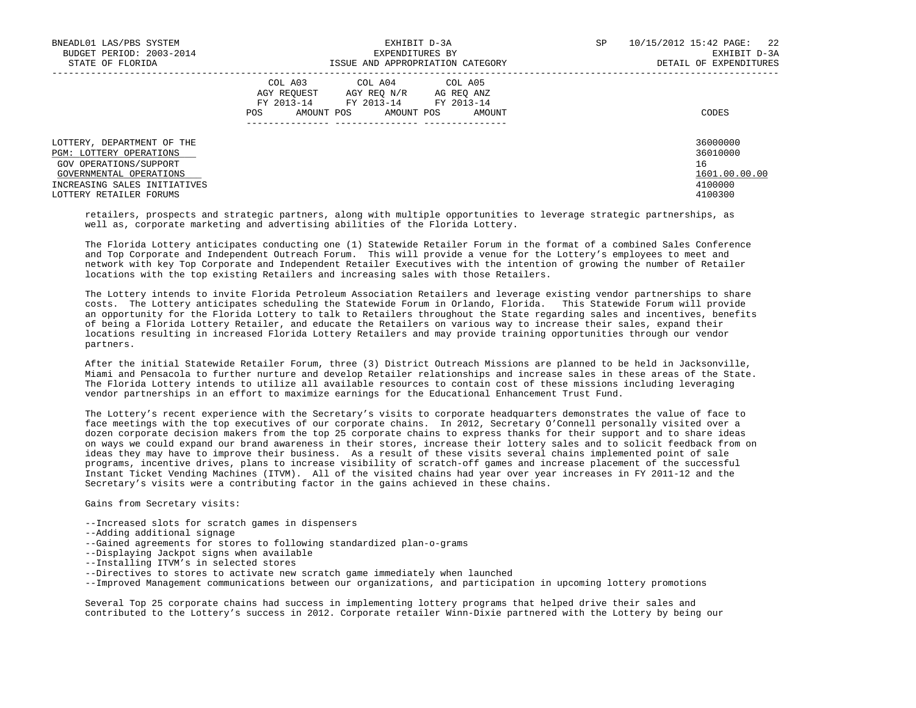| BNEADL01 LAS/PBS SYSTEM<br>BUDGET PERIOD: 2003-2014<br>STATE OF FLORIDA                                                                                               | EXHIBIT D-3A<br>EXPENDITURES BY<br>ISSUE AND APPROPRIATION CATEGORY                                                                                        | SP<br>10/15/2012 15:42 PAGE:<br>22<br>EXHIBIT D-3A<br>DETAIL OF EXPENDITURES |
|-----------------------------------------------------------------------------------------------------------------------------------------------------------------------|------------------------------------------------------------------------------------------------------------------------------------------------------------|------------------------------------------------------------------------------|
|                                                                                                                                                                       | COL A03<br>COL A04 COL A05<br>AGY REOUEST<br>AGY REO N/R<br>AG REO ANZ<br>FY 2013-14<br>FY 2013-14 FY 2013-14<br>AMOUNT POS<br>AMOUNT POS<br>POS<br>AMOUNT | CODES                                                                        |
| LOTTERY, DEPARTMENT OF THE<br>PGM: LOTTERY OPERATIONS<br>GOV OPERATIONS/SUPPORT<br>GOVERNMENTAL OPERATIONS<br>INCREASING SALES INITIATIVES<br>LOTTERY RETAILER FORUMS |                                                                                                                                                            | 36000000<br>36010000<br>16<br>1601.00.00.00<br>4100000<br>4100300            |

 retailers, prospects and strategic partners, along with multiple opportunities to leverage strategic partnerships, as well as, corporate marketing and advertising abilities of the Florida Lottery.

 The Florida Lottery anticipates conducting one (1) Statewide Retailer Forum in the format of a combined Sales Conference and Top Corporate and Independent Outreach Forum. This will provide a venue for the Lottery's employees to meet and network with key Top Corporate and Independent Retailer Executives with the intention of growing the number of Retailer locations with the top existing Retailers and increasing sales with those Retailers.

 The Lottery intends to invite Florida Petroleum Association Retailers and leverage existing vendor partnerships to share costs. The Lottery anticipates scheduling the Statewide Forum in Orlando, Florida. This Statewide Forum will provide an opportunity for the Florida Lottery to talk to Retailers throughout the State regarding sales and incentives, benefits of being a Florida Lottery Retailer, and educate the Retailers on various way to increase their sales, expand their locations resulting in increased Florida Lottery Retailers and may provide training opportunities through our vendor partners.

 After the initial Statewide Retailer Forum, three (3) District Outreach Missions are planned to be held in Jacksonville, Miami and Pensacola to further nurture and develop Retailer relationships and increase sales in these areas of the State. The Florida Lottery intends to utilize all available resources to contain cost of these missions including leveraging vendor partnerships in an effort to maximize earnings for the Educational Enhancement Trust Fund.

 The Lottery's recent experience with the Secretary's visits to corporate headquarters demonstrates the value of face to face meetings with the top executives of our corporate chains. In 2012, Secretary O'Connell personally visited over a dozen corporate decision makers from the top 25 corporate chains to express thanks for their support and to share ideas on ways we could expand our brand awareness in their stores, increase their lottery sales and to solicit feedback from on ideas they may have to improve their business. As a result of these visits several chains implemented point of sale programs, incentive drives, plans to increase visibility of scratch-off games and increase placement of the successful Instant Ticket Vending Machines (ITVM). All of the visited chains had year over year increases in FY 2011-12 and the Secretary's visits were a contributing factor in the gains achieved in these chains.

Gains from Secretary visits:

--Increased slots for scratch games in dispensers

- --Adding additional signage
- --Gained agreements for stores to following standardized plan-o-grams
- --Displaying Jackpot signs when available
- --Installing ITVM's in selected stores
- --Directives to stores to activate new scratch game immediately when launched

--Improved Management communications between our organizations, and participation in upcoming lottery promotions

 Several Top 25 corporate chains had success in implementing lottery programs that helped drive their sales and contributed to the Lottery's success in 2012. Corporate retailer Winn-Dixie partnered with the Lottery by being our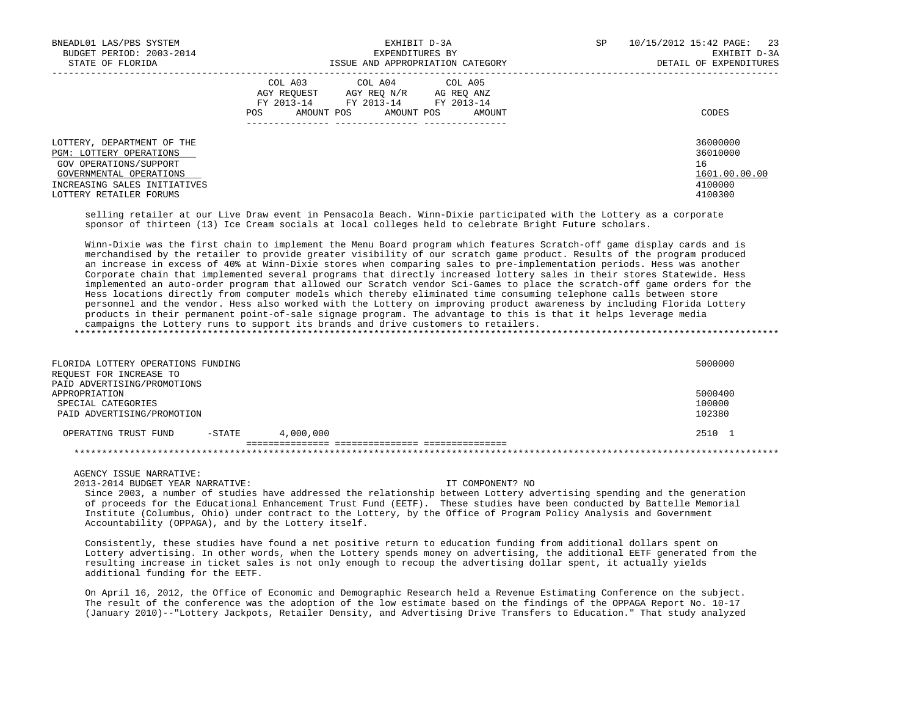| BNEADL01 LAS/PBS SYSTEM<br>BUDGET PERIOD: 2003-2014<br>STATE OF FLORIDA                                                                    | EXHIBIT D-3A<br>EXPENDITURES BY<br>ISSUE AND APPROPRIATION CATEGORY                                                                                        | SP<br>10/15/2012 15:42 PAGE:<br>DETAIL OF EXPENDITURES | 23<br>EXHIBIT D-3A |
|--------------------------------------------------------------------------------------------------------------------------------------------|------------------------------------------------------------------------------------------------------------------------------------------------------------|--------------------------------------------------------|--------------------|
|                                                                                                                                            | COL A04 COL A05<br>COL A03<br>AGY REOUEST<br>AGY REO N/R<br>AG REO ANZ<br>FY 2013-14<br>FY 2013-14 FY 2013-14<br>AMOUNT POS<br>AMOUNT POS<br>AMOUNT<br>POS | CODES                                                  |                    |
| LOTTERY, DEPARTMENT OF THE<br>PGM: LOTTERY OPERATIONS<br>GOV OPERATIONS/SUPPORT<br>GOVERNMENTAL OPERATIONS<br>INCREASING SALES INITIATIVES |                                                                                                                                                            | 36000000<br>36010000<br>16<br>4100000                  | 1601.00.00.00      |
| LOTTERY RETAILER FORUMS                                                                                                                    |                                                                                                                                                            | 4100300                                                |                    |

 selling retailer at our Live Draw event in Pensacola Beach. Winn-Dixie participated with the Lottery as a corporate sponsor of thirteen (13) Ice Cream socials at local colleges held to celebrate Bright Future scholars.

 Winn-Dixie was the first chain to implement the Menu Board program which features Scratch-off game display cards and is merchandised by the retailer to provide greater visibility of our scratch game product. Results of the program produced an increase in excess of 40% at Winn-Dixie stores when comparing sales to pre-implementation periods. Hess was another Corporate chain that implemented several programs that directly increased lottery sales in their stores Statewide. Hess implemented an auto-order program that allowed our Scratch vendor Sci-Games to place the scratch-off game orders for the Hess locations directly from computer models which thereby eliminated time consuming telephone calls between store personnel and the vendor. Hess also worked with the Lottery on improving product awareness by including Florida Lottery products in their permanent point-of-sale signage program. The advantage to this is that it helps leverage media campaigns the Lottery runs to support its brands and drive customers to retailers.

\*\*\*\*\*\*\*\*\*\*\*\*\*\*\*\*\*\*\*\*\*\*\*\*\*\*\*\*\*\*\*\*\*\*\*\*\*\*\*\*\*\*\*\*\*\*\*\*\*\*\*\*\*\*\*\*\*\*\*\*\*\*\*\*\*\*\*\*\*\*\*\*\*\*\*\*\*\*\*\*\*\*\*\*\*\*\*\*\*\*\*\*\*\*\*\*\*\*\*\*\*\*\*\*\*\*\*\*\*\*\*\*\*\*\*\*\*\*\*\*\*\*\*\*\*\*\*

| FLORIDA LOTTERY OPERATIONS FUNDING<br>REQUEST FOR INCREASE TO<br>PAID ADVERTISING/PROMOTIONS |           |           | 5000000                     |
|----------------------------------------------------------------------------------------------|-----------|-----------|-----------------------------|
| APPROPRIATION<br>SPECIAL CATEGORIES<br>PAID ADVERTISING/PROMOTION                            |           |           | 5000400<br>100000<br>102380 |
| OPERATING TRUST FUND                                                                         | $-$ STATE | 4,000,000 | 2510 1                      |
|                                                                                              |           |           |                             |

# AGENCY ISSUE NARRATIVE:

2013-2014 BUDGET YEAR NARRATIVE: IT COMPONENT? NO

 Since 2003, a number of studies have addressed the relationship between Lottery advertising spending and the generation of proceeds for the Educational Enhancement Trust Fund (EETF). These studies have been conducted by Battelle Memorial Institute (Columbus, Ohio) under contract to the Lottery, by the Office of Program Policy Analysis and Government Accountability (OPPAGA), and by the Lottery itself.

 Consistently, these studies have found a net positive return to education funding from additional dollars spent on Lottery advertising. In other words, when the Lottery spends money on advertising, the additional EETF generated from the resulting increase in ticket sales is not only enough to recoup the advertising dollar spent, it actually yields additional funding for the EETF.

 On April 16, 2012, the Office of Economic and Demographic Research held a Revenue Estimating Conference on the subject. The result of the conference was the adoption of the low estimate based on the findings of the OPPAGA Report No. 10-17 (January 2010)--"Lottery Jackpots, Retailer Density, and Advertising Drive Transfers to Education." That study analyzed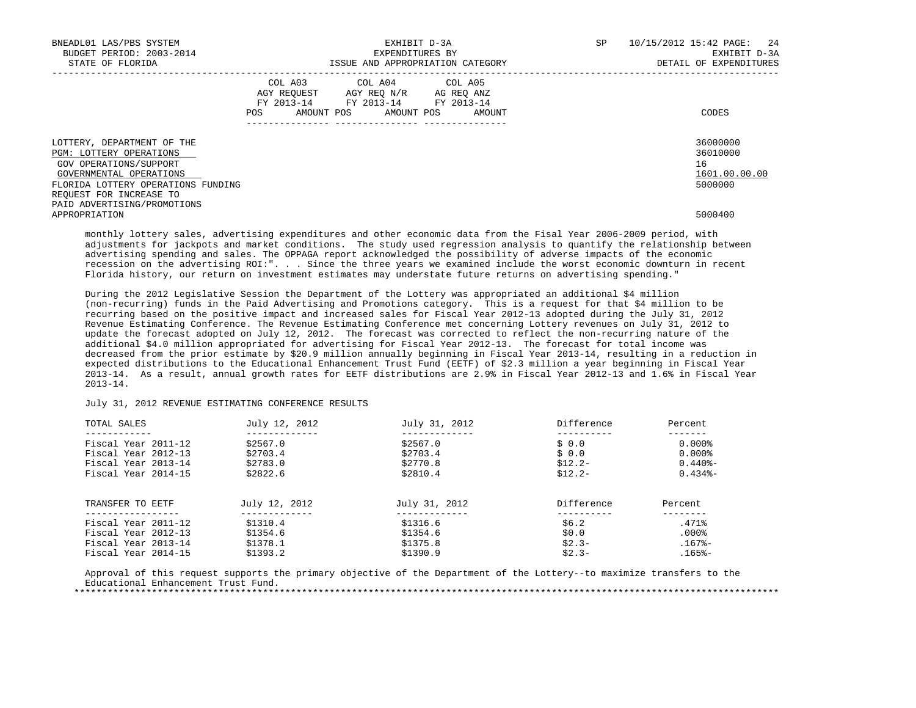| BNEADL01 LAS/PBS SYSTEM                                                                                    |                   | EXHIBIT D-3A                                                                                                    |                                  | SP | 10/15/2012 15:42 PAGE: 24                   |
|------------------------------------------------------------------------------------------------------------|-------------------|-----------------------------------------------------------------------------------------------------------------|----------------------------------|----|---------------------------------------------|
| BUDGET PERIOD: 2003-2014<br>STATE OF FLORIDA                                                               |                   | EXPENDITURES BY                                                                                                 | ISSUE AND APPROPRIATION CATEGORY |    | EXHIBIT D-3A<br>DETAIL OF EXPENDITURES      |
|                                                                                                            | POS<br>AMOUNT POS | COL A03 COL A04 COL A05<br>AGY REOUEST AGY REO N/R AG REO ANZ<br>FY 2013-14 FY 2013-14 FY 2013-14<br>AMOUNT POS | AMOUNT                           |    | CODES                                       |
| LOTTERY, DEPARTMENT OF THE<br>PGM: LOTTERY OPERATIONS<br>GOV OPERATIONS/SUPPORT<br>GOVERNMENTAL OPERATIONS |                   |                                                                                                                 |                                  |    | 36000000<br>36010000<br>16<br>1601.00.00.00 |
| FLORIDA LOTTERY OPERATIONS FUNDING<br>REQUEST FOR INCREASE TO<br>PAID ADVERTISING/PROMOTIONS               |                   |                                                                                                                 |                                  |    | 5000000                                     |
| APPROPRIATION                                                                                              |                   |                                                                                                                 |                                  |    | 5000400                                     |

 monthly lottery sales, advertising expenditures and other economic data from the Fisal Year 2006-2009 period, with adjustments for jackpots and market conditions. The study used regression analysis to quantify the relationship between advertising spending and sales. The OPPAGA report acknowledged the possibility of adverse impacts of the economic recession on the advertising ROI:". . . Since the three years we examined include the worst economic downturn in recent Florida history, our return on investment estimates may understate future returns on advertising spending."

 During the 2012 Legislative Session the Department of the Lottery was appropriated an additional \$4 million (non-recurring) funds in the Paid Advertising and Promotions category. This is a request for that \$4 million to be recurring based on the positive impact and increased sales for Fiscal Year 2012-13 adopted during the July 31, 2012 Revenue Estimating Conference. The Revenue Estimating Conference met concerning Lottery revenues on July 31, 2012 to update the forecast adopted on July 12, 2012. The forecast was corrected to reflect the non-recurring nature of the additional \$4.0 million appropriated for advertising for Fiscal Year 2012-13. The forecast for total income was decreased from the prior estimate by \$20.9 million annually beginning in Fiscal Year 2013-14, resulting in a reduction in expected distributions to the Educational Enhancement Trust Fund (EETF) of \$2.3 million a year beginning in Fiscal Year 2013-14. As a result, annual growth rates for EETF distributions are 2.9% in Fiscal Year 2012-13 and 1.6% in Fiscal Year 2013-14.

# July 31, 2012 REVENUE ESTIMATING CONFERENCE RESULTS

| TOTAL SALES         | July 12, 2012 | July 31, 2012 | Difference | Percent               |
|---------------------|---------------|---------------|------------|-----------------------|
| Fiscal Year 2011-12 | \$2567.0      | \$2567.0      | \$0.0      | $0.000$ $8$           |
|                     |               |               |            |                       |
| Fiscal Year 2012-13 | \$2703.4      | \$2703.4      | \$0.0      | $0.000$ $8$           |
| Fiscal Year 2013-14 | \$2783.0      | \$2770.8      | $$12.2-$   | $0.440$ <sup>8-</sup> |
| Fiscal Year 2014-15 | \$2822.6      | \$2810.4      | $$12.2-$   | $0.434$ <sup>8-</sup> |
| TRANSFER TO EETF    | July 12, 2012 | July 31, 2012 | Difference | Percent               |
| Fiscal Year 2011-12 | \$1310.4      | \$1316.6      | \$6.2      | .471%                 |
| Fiscal Year 2012-13 | \$1354.6      | \$1354.6      | \$0.0      | $.000$ $$$            |
| Fiscal Year 2013-14 | \$1378.1      | \$1375.8      | $$2.3-$    | $.167$ $-$            |
| Fiscal Year 2014-15 | \$1393.2      | \$1390.9      | $$2.3-$    | $.165% -$             |

 Approval of this request supports the primary objective of the Department of the Lottery--to maximize transfers to the Educational Enhancement Trust Fund. \*\*\*\*\*\*\*\*\*\*\*\*\*\*\*\*\*\*\*\*\*\*\*\*\*\*\*\*\*\*\*\*\*\*\*\*\*\*\*\*\*\*\*\*\*\*\*\*\*\*\*\*\*\*\*\*\*\*\*\*\*\*\*\*\*\*\*\*\*\*\*\*\*\*\*\*\*\*\*\*\*\*\*\*\*\*\*\*\*\*\*\*\*\*\*\*\*\*\*\*\*\*\*\*\*\*\*\*\*\*\*\*\*\*\*\*\*\*\*\*\*\*\*\*\*\*\*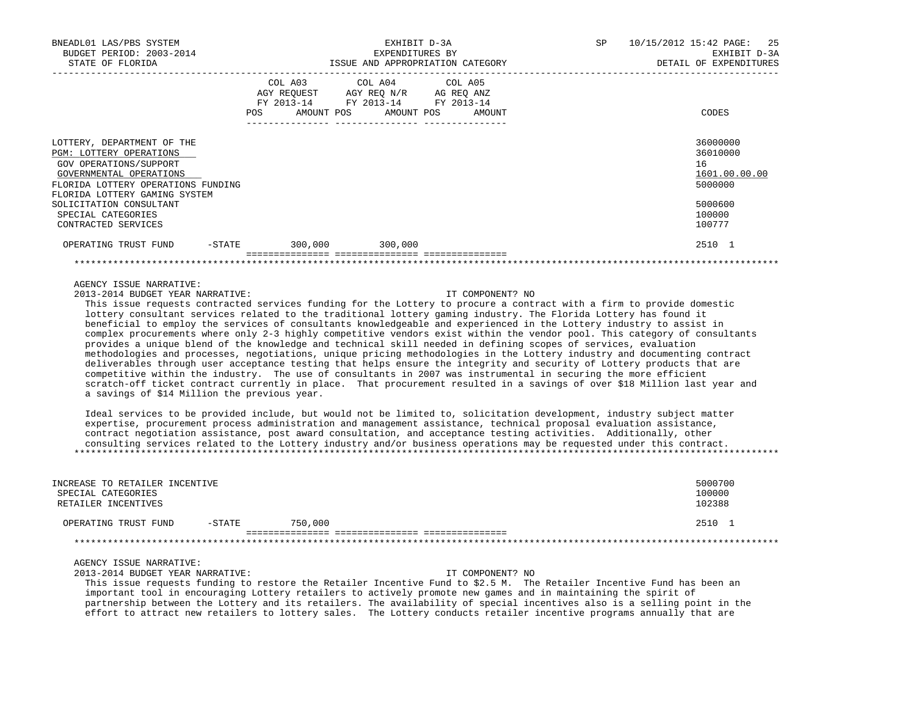| COL A03 COL A04 COL A05<br>AGY REQUEST AGY REO N/R AG REO ANZ | CODES                                                                                                               |
|---------------------------------------------------------------|---------------------------------------------------------------------------------------------------------------------|
|                                                               | 36000000<br>36010000<br>16 <sup>1</sup><br>1601.00.00.00<br>5000000                                                 |
|                                                               | 5000600<br>100000<br>100777                                                                                         |
|                                                               | 2510 1                                                                                                              |
|                                                               | FY 2013-14 FY 2013-14 FY 2013-14<br>POS AMOUNT POS AMOUNT POS AMOUNT<br>OPERATING TRUST FUND -STATE 300,000 300,000 |

2013-2014 BUDGET YEAR NARRATIVE: IT COMPONENT? NO

 This issue requests contracted services funding for the Lottery to procure a contract with a firm to provide domestic lottery consultant services related to the traditional lottery gaming industry. The Florida Lottery has found it beneficial to employ the services of consultants knowledgeable and experienced in the Lottery industry to assist in complex procurements where only 2-3 highly competitive vendors exist within the vendor pool. This category of consultants provides a unique blend of the knowledge and technical skill needed in defining scopes of services, evaluation methodologies and processes, negotiations, unique pricing methodologies in the Lottery industry and documenting contract deliverables through user acceptance testing that helps ensure the integrity and security of Lottery products that are competitive within the industry. The use of consultants in 2007 was instrumental in securing the more efficient scratch-off ticket contract currently in place. That procurement resulted in a savings of over \$18 Million last year and a savings of \$14 Million the previous year.

 Ideal services to be provided include, but would not be limited to, solicitation development, industry subject matter expertise, procurement process administration and management assistance, technical proposal evaluation assistance, contract negotiation assistance, post award consultation, and acceptance testing activities. Additionally, other consulting services related to the Lottery industry and/or business operations may be requested under this contract. \*\*\*\*\*\*\*\*\*\*\*\*\*\*\*\*\*\*\*\*\*\*\*\*\*\*\*\*\*\*\*\*\*\*\*\*\*\*\*\*\*\*\*\*\*\*\*\*\*\*\*\*\*\*\*\*\*\*\*\*\*\*\*\*\*\*\*\*\*\*\*\*\*\*\*\*\*\*\*\*\*\*\*\*\*\*\*\*\*\*\*\*\*\*\*\*\*\*\*\*\*\*\*\*\*\*\*\*\*\*\*\*\*\*\*\*\*\*\*\*\*\*\*\*\*\*\*

| INCREASE TO RETAILER INCENTIVE<br>SPECIAL CATEGORIES<br>RETAILER INCENTIVES |           |         |  | 5000700<br>100000<br>102388 |
|-----------------------------------------------------------------------------|-----------|---------|--|-----------------------------|
| OPERATING TRUST FUND                                                        | $-$ STATE | 750,000 |  | 2510 1                      |
|                                                                             |           |         |  |                             |
|                                                                             |           |         |  |                             |

AGENCY ISSUE NARRATIVE:

2013-2014 BUDGET YEAR NARRATIVE: IT COMPONENT? NO

 This issue requests funding to restore the Retailer Incentive Fund to \$2.5 M. The Retailer Incentive Fund has been an important tool in encouraging Lottery retailers to actively promote new games and in maintaining the spirit of partnership between the Lottery and its retailers. The availability of special incentives also is a selling point in the effort to attract new retailers to lottery sales. The Lottery conducts retailer incentive programs annually that are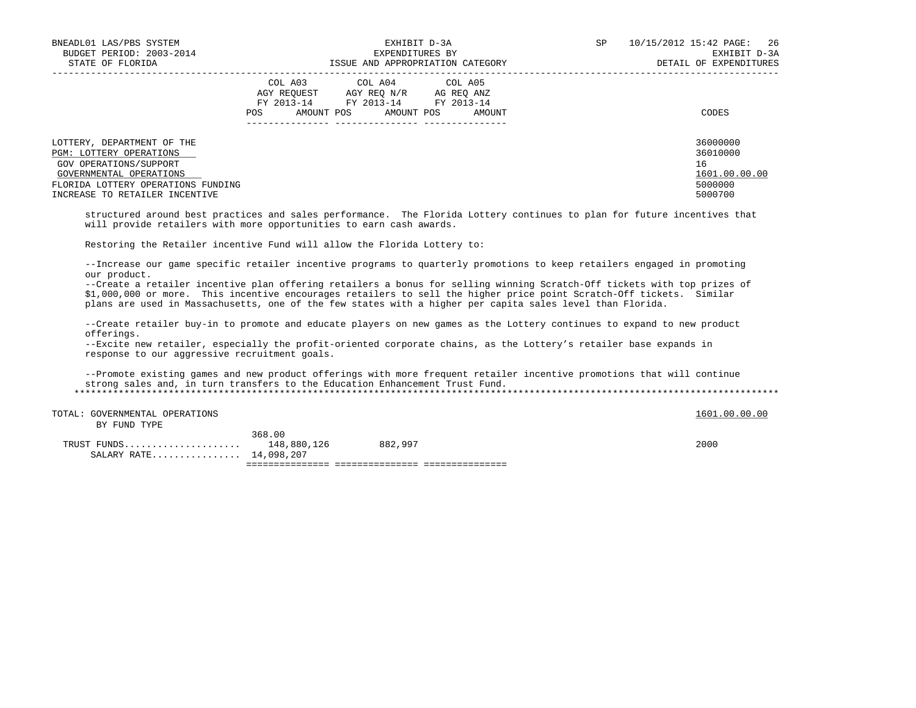| BNEADL01 LAS/PBS SYSTEM<br>BUDGET PERIOD: 2003-2014<br>STATE OF FLORIDA                                                                                                            | EXHIBIT D-3A<br>EXPENDITURES BY<br>ISSUE AND APPROPRIATION CATEGORY                                                                                        | SP<br>10/15/2012 15:42 PAGE:<br>26<br>EXHIBIT D-3A<br>DETAIL OF EXPENDITURES |
|------------------------------------------------------------------------------------------------------------------------------------------------------------------------------------|------------------------------------------------------------------------------------------------------------------------------------------------------------|------------------------------------------------------------------------------|
|                                                                                                                                                                                    | COL A03<br>COL A04 COL A05<br>AGY REOUEST<br>AGY REO N/R<br>AG REO ANZ<br>FY 2013-14<br>FY 2013-14 FY 2013-14<br>AMOUNT POS<br>POS<br>AMOUNT POS<br>AMOUNT | CODES                                                                        |
| LOTTERY, DEPARTMENT OF THE<br>PGM: LOTTERY OPERATIONS<br>GOV OPERATIONS/SUPPORT<br>GOVERNMENTAL OPERATIONS<br>FLORIDA LOTTERY OPERATIONS FUNDING<br>INCREASE TO RETAILER INCENTIVE |                                                                                                                                                            | 36000000<br>36010000<br>16<br>1601.00.00.00<br>5000000<br>5000700            |

 structured around best practices and sales performance. The Florida Lottery continues to plan for future incentives that will provide retailers with more opportunities to earn cash awards.

Restoring the Retailer incentive Fund will allow the Florida Lottery to:

 --Increase our game specific retailer incentive programs to quarterly promotions to keep retailers engaged in promoting our product.

 --Create a retailer incentive plan offering retailers a bonus for selling winning Scratch-Off tickets with top prizes of \$1,000,000 or more. This incentive encourages retailers to sell the higher price point Scratch-Off tickets. Similar plans are used in Massachusetts, one of the few states with a higher per capita sales level than Florida.

 --Create retailer buy-in to promote and educate players on new games as the Lottery continues to expand to new product offerings.

 --Excite new retailer, especially the profit-oriented corporate chains, as the Lottery's retailer base expands in response to our aggressive recruitment goals.

 --Promote existing games and new product offerings with more frequent retailer incentive promotions that will continue strong sales and, in turn transfers to the Education Enhancement Trust Fund. \*\*\*\*\*\*\*\*\*\*\*\*\*\*\*\*\*\*\*\*\*\*\*\*\*\*\*\*\*\*\*\*\*\*\*\*\*\*\*\*\*\*\*\*\*\*\*\*\*\*\*\*\*\*\*\*\*\*\*\*\*\*\*\*\*\*\*\*\*\*\*\*\*\*\*\*\*\*\*\*\*\*\*\*\*\*\*\*\*\*\*\*\*\*\*\*\*\*\*\*\*\*\*\*\*\*\*\*\*\*\*\*\*\*\*\*\*\*\*\*\*\*\*\*\*\*\*

TOTAL: GOVERNMENTAL OPERATIONS 1600.00 CONTROLLED TOTAL: GOVERNMENTAL OPERATIONS

BY FUND TYPE

 368.00 TRUST FUNDS..................... 148,880,126 882,997 2000 SALARY RATE................ 14,098.207 =============== =============== ===============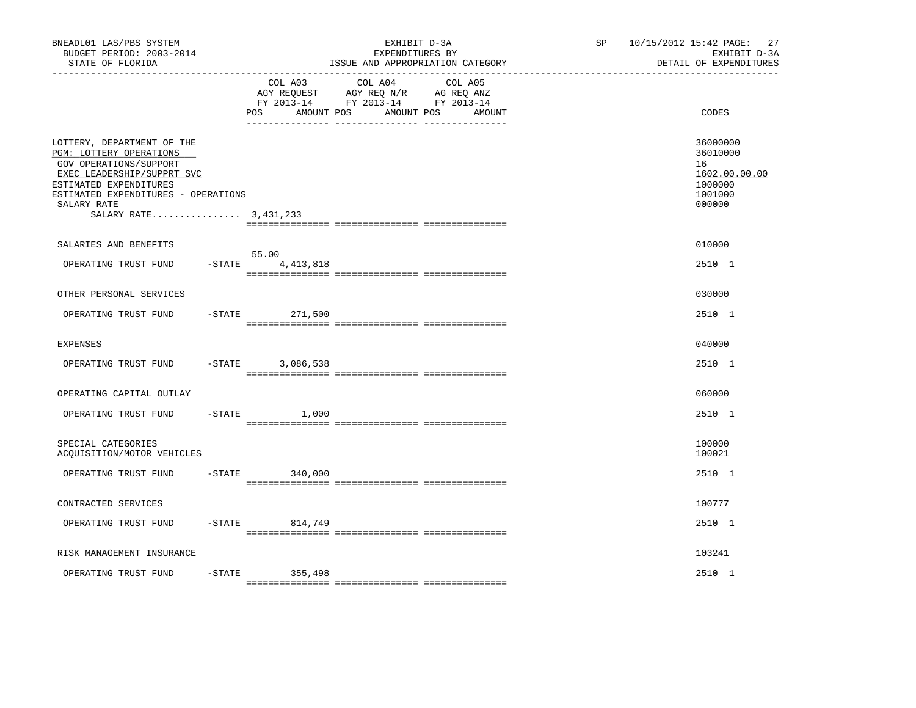| BNEADL01 LAS/PBS SYSTEM<br>BUDGET PERIOD: 2003-2014<br>STATE OF FLORIDA                                                                                                                                                  |           |                                  | EXHIBIT D-3A<br>EXPENDITURES BY<br>ISSUE AND APPROPRIATION CATEGORY                             | SP                | 10/15/2012 15:42 PAGE:<br>27<br>EXHIBIT D-3A<br>DETAIL OF EXPENDITURES |                                                                             |
|--------------------------------------------------------------------------------------------------------------------------------------------------------------------------------------------------------------------------|-----------|----------------------------------|-------------------------------------------------------------------------------------------------|-------------------|------------------------------------------------------------------------|-----------------------------------------------------------------------------|
|                                                                                                                                                                                                                          |           | COL A03<br>POS<br>AMOUNT POS     | COL A04<br>AGY REQUEST AGY REQ N/R AG REQ ANZ<br>FY 2013-14 FY 2013-14 FY 2013-14<br>AMOUNT POS | COL A05<br>AMOUNT |                                                                        | CODES                                                                       |
| LOTTERY, DEPARTMENT OF THE<br>PGM: LOTTERY OPERATIONS<br>GOV OPERATIONS/SUPPORT<br>EXEC LEADERSHIP/SUPPRT SVC<br>ESTIMATED EXPENDITURES<br>ESTIMATED EXPENDITURES - OPERATIONS<br>SALARY RATE<br>SALARY RATE 3, 431, 233 |           |                                  |                                                                                                 |                   |                                                                        | 36000000<br>36010000<br>16<br>1602.00.00.00<br>1000000<br>1001000<br>000000 |
| SALARIES AND BENEFITS<br>OPERATING TRUST FUND                                                                                                                                                                            |           | 55.00<br>$-$ STATE $4, 413, 818$ |                                                                                                 |                   |                                                                        | 010000<br>2510 1                                                            |
| OTHER PERSONAL SERVICES                                                                                                                                                                                                  |           |                                  |                                                                                                 |                   |                                                                        | 030000                                                                      |
| OPERATING TRUST FUND                                                                                                                                                                                                     | $-$ STATE | 271,500                          |                                                                                                 |                   |                                                                        | 2510 1                                                                      |
| <b>EXPENSES</b>                                                                                                                                                                                                          |           |                                  |                                                                                                 |                   |                                                                        | 040000                                                                      |
| OPERATING TRUST FUND                                                                                                                                                                                                     | $-$ STATE | 3,086,538                        |                                                                                                 |                   |                                                                        | 2510 1                                                                      |
| OPERATING CAPITAL OUTLAY                                                                                                                                                                                                 |           |                                  |                                                                                                 |                   |                                                                        | 060000                                                                      |
| OPERATING TRUST FUND                                                                                                                                                                                                     |           | $-STATE$<br>1,000                |                                                                                                 |                   |                                                                        | 2510 1                                                                      |
| SPECIAL CATEGORIES<br>ACQUISITION/MOTOR VEHICLES                                                                                                                                                                         |           |                                  |                                                                                                 |                   |                                                                        | 100000<br>100021                                                            |
| OPERATING TRUST FUND                                                                                                                                                                                                     |           | $-STATE$<br>340,000              |                                                                                                 |                   |                                                                        | 2510 1                                                                      |
| CONTRACTED SERVICES                                                                                                                                                                                                      |           |                                  |                                                                                                 |                   |                                                                        | 100777                                                                      |
| OPERATING TRUST FUND                                                                                                                                                                                                     |           | -STATE 814,749                   |                                                                                                 |                   |                                                                        | 2510 1                                                                      |
| RISK MANAGEMENT INSURANCE                                                                                                                                                                                                |           |                                  |                                                                                                 |                   |                                                                        | 103241                                                                      |
| OPERATING TRUST FUND                                                                                                                                                                                                     | $-$ STATE | 355,498                          |                                                                                                 |                   |                                                                        | 2510 1                                                                      |
|                                                                                                                                                                                                                          |           |                                  |                                                                                                 |                   |                                                                        |                                                                             |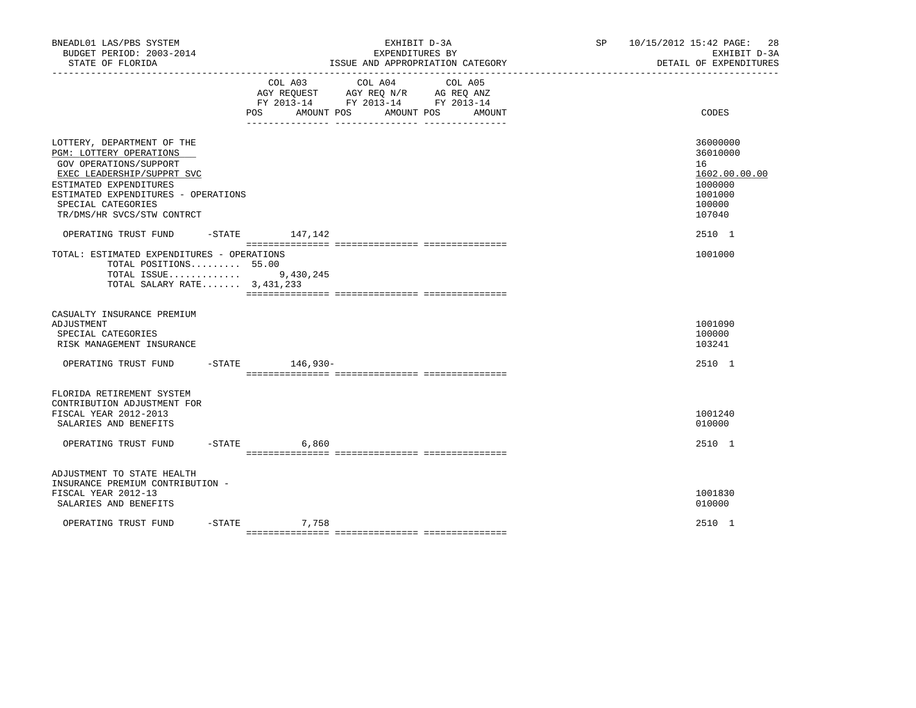| BNEADL01 LAS/PBS SYSTEM<br>BUDGET PERIOD: 2003-2014<br>STATE OF FLORIDA                                                                                                                                                            |                    | EXHIBIT D-3A<br>EXPENDITURES BY<br>ISSUE AND APPROPRIATION CATEGORY                                                                                                                             | 10/15/2012 15:42 PAGE:<br>SP<br>EXHIBIT D-3A<br>DETAIL OF EXPENDITURES |  |                                                                                       |
|------------------------------------------------------------------------------------------------------------------------------------------------------------------------------------------------------------------------------------|--------------------|-------------------------------------------------------------------------------------------------------------------------------------------------------------------------------------------------|------------------------------------------------------------------------|--|---------------------------------------------------------------------------------------|
|                                                                                                                                                                                                                                    | COL A03<br>POS     | COL A04<br>$\begin{tabular}{lllllll} AGY & \texttt{REQUEST} & \texttt{AGY REQ} & \texttt{N/R} & \texttt{AG REQ} & \texttt{ANZ} \end{tabular}$<br>FY 2013-14 FY 2013-14 FY 2013-14<br>AMOUNT POS | COL A05<br>AMOUNT POS<br>AMOUNT                                        |  | CODES                                                                                 |
| LOTTERY, DEPARTMENT OF THE<br>PGM: LOTTERY OPERATIONS<br>GOV OPERATIONS/SUPPORT<br>EXEC LEADERSHIP/SUPPRT SVC<br>ESTIMATED EXPENDITURES<br>ESTIMATED EXPENDITURES - OPERATIONS<br>SPECIAL CATEGORIES<br>TR/DMS/HR SVCS/STW CONTRCT |                    |                                                                                                                                                                                                 |                                                                        |  | 36000000<br>36010000<br>16<br>1602.00.00.00<br>1000000<br>1001000<br>100000<br>107040 |
| OPERATING TRUST FUND -STATE 147,142<br>TOTAL: ESTIMATED EXPENDITURES - OPERATIONS<br>TOTAL POSITIONS 55.00<br>TOTAL ISSUE 9,430,245<br>TOTAL SALARY RATE 3,431,233                                                                 |                    |                                                                                                                                                                                                 |                                                                        |  | 2510 1<br>1001000                                                                     |
| CASUALTY INSURANCE PREMIUM<br>ADJUSTMENT<br>SPECIAL CATEGORIES<br>RISK MANAGEMENT INSURANCE                                                                                                                                        |                    |                                                                                                                                                                                                 |                                                                        |  | 1001090<br>100000<br>103241                                                           |
| OPERATING TRUST FUND -STATE 146,930-                                                                                                                                                                                               |                    |                                                                                                                                                                                                 |                                                                        |  | 2510 1                                                                                |
| FLORIDA RETIREMENT SYSTEM<br>CONTRIBUTION ADJUSTMENT FOR<br>FISCAL YEAR 2012-2013<br>SALARIES AND BENEFITS<br>OPERATING TRUST FUND                                                                                                 | $-STATE$           | 6,860                                                                                                                                                                                           |                                                                        |  | 1001240<br>010000<br>2510 1                                                           |
| ADJUSTMENT TO STATE HEALTH<br>INSURANCE PREMIUM CONTRIBUTION -<br>FISCAL YEAR 2012-13<br>SALARIES AND BENEFITS                                                                                                                     |                    |                                                                                                                                                                                                 |                                                                        |  | 1001830<br>010000                                                                     |
| OPERATING TRUST FUND                                                                                                                                                                                                               | 7,758<br>$-$ STATE |                                                                                                                                                                                                 |                                                                        |  | 2510 1                                                                                |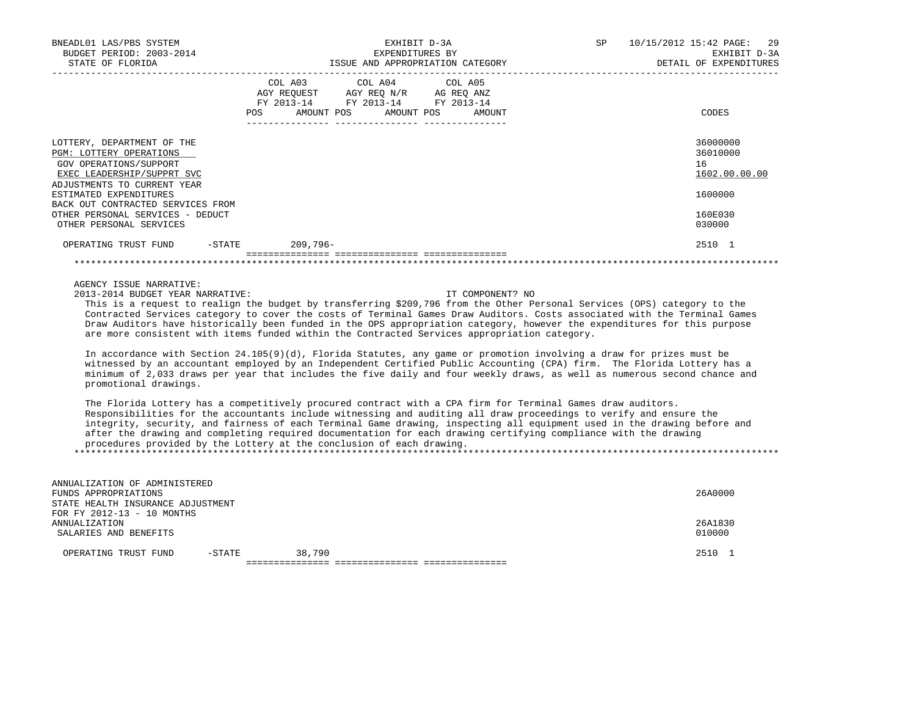| BNEADL01 LAS/PBS SYSTEM<br>BUDGET PERIOD: 2003-2014<br>STATE OF FLORIDA                                                                                                                                     | EXHIBIT D-3A<br>EXPENDITURES BY<br>ISSUE AND APPROPRIATION CATEGORY                                                                      | SP<br>10/15/2012 15:42 PAGE: 29<br>EXHIBIT D-3A<br>DETAIL OF EXPENDITURES |
|-------------------------------------------------------------------------------------------------------------------------------------------------------------------------------------------------------------|------------------------------------------------------------------------------------------------------------------------------------------|---------------------------------------------------------------------------|
|                                                                                                                                                                                                             | COL A03 COL A04 COL A05<br>AGY REQUEST AGY REQ N/R AG REQ ANZ<br>FY 2013-14 FY 2013-14 FY 2013-14<br>AMOUNT POS AMOUNT POS AMOUNT<br>POS | CODES                                                                     |
| LOTTERY, DEPARTMENT OF THE<br>PGM: LOTTERY OPERATIONS<br>GOV OPERATIONS/SUPPORT<br>EXEC LEADERSHIP/SUPPRT SVC<br>ADJUSTMENTS TO CURRENT YEAR<br>ESTIMATED EXPENDITURES<br>BACK OUT CONTRACTED SERVICES FROM |                                                                                                                                          | 36000000<br>36010000<br>16<br>1602.00.00.00<br>1600000                    |
| OTHER PERSONAL SERVICES - DEDUCT<br>OTHER PERSONAL SERVICES                                                                                                                                                 |                                                                                                                                          | 160E030<br>030000                                                         |
| OPERATING TRUST FUND<br>-STATE                                                                                                                                                                              | 209,796-                                                                                                                                 | 2510 1                                                                    |

2013-2014 BUDGET YEAR NARRATIVE: IT COMPONENT? NO

 This is a request to realign the budget by transferring \$209,796 from the Other Personal Services (OPS) category to the Contracted Services category to cover the costs of Terminal Games Draw Auditors. Costs associated with the Terminal Games Draw Auditors have historically been funded in the OPS appropriation category, however the expenditures for this purpose are more consistent with items funded within the Contracted Services appropriation category.

\*\*\*\*\*\*\*\*\*\*\*\*\*\*\*\*\*\*\*\*\*\*\*\*\*\*\*\*\*\*\*\*\*\*\*\*\*\*\*\*\*\*\*\*\*\*\*\*\*\*\*\*\*\*\*\*\*\*\*\*\*\*\*\*\*\*\*\*\*\*\*\*\*\*\*\*\*\*\*\*\*\*\*\*\*\*\*\*\*\*\*\*\*\*\*\*\*\*\*\*\*\*\*\*\*\*\*\*\*\*\*\*\*\*\*\*\*\*\*\*\*\*\*\*\*\*\*

 In accordance with Section 24.105(9)(d), Florida Statutes, any game or promotion involving a draw for prizes must be witnessed by an accountant employed by an Independent Certified Public Accounting (CPA) firm. The Florida Lottery has a minimum of 2,033 draws per year that includes the five daily and four weekly draws, as well as numerous second chance and promotional drawings.

 The Florida Lottery has a competitively procured contract with a CPA firm for Terminal Games draw auditors. Responsibilities for the accountants include witnessing and auditing all draw proceedings to verify and ensure the integrity, security, and fairness of each Terminal Game drawing, inspecting all equipment used in the drawing before and after the drawing and completing required documentation for each drawing certifying compliance with the drawing procedures provided by the Lottery at the conclusion of each drawing. \*\*\*\*\*\*\*\*\*\*\*\*\*\*\*\*\*\*\*\*\*\*\*\*\*\*\*\*\*\*\*\*\*\*\*\*\*\*\*\*\*\*\*\*\*\*\*\*\*\*\*\*\*\*\*\*\*\*\*\*\*\*\*\*\*\*\*\*\*\*\*\*\*\*\*\*\*\*\*\*\*\*\*\*\*\*\*\*\*\*\*\*\*\*\*\*\*\*\*\*\*\*\*\*\*\*\*\*\*\*\*\*\*\*\*\*\*\*\*\*\*\*\*\*\*\*\*

| ANNUALIZATION OF ADMINISTERED     |        |        |  |         |  |
|-----------------------------------|--------|--------|--|---------|--|
| FUNDS APPROPRIATIONS              |        |        |  |         |  |
| STATE HEALTH INSURANCE ADJUSTMENT |        |        |  |         |  |
| FOR FY 2012-13 - 10 MONTHS        |        |        |  |         |  |
| ANNUALIZATION                     |        |        |  | 26A1830 |  |
| SALARIES AND BENEFITS             |        |        |  |         |  |
|                                   |        |        |  |         |  |
| OPERATING TRUST FUND              | -STATE | 38,790 |  | 2510 1  |  |
|                                   |        |        |  |         |  |